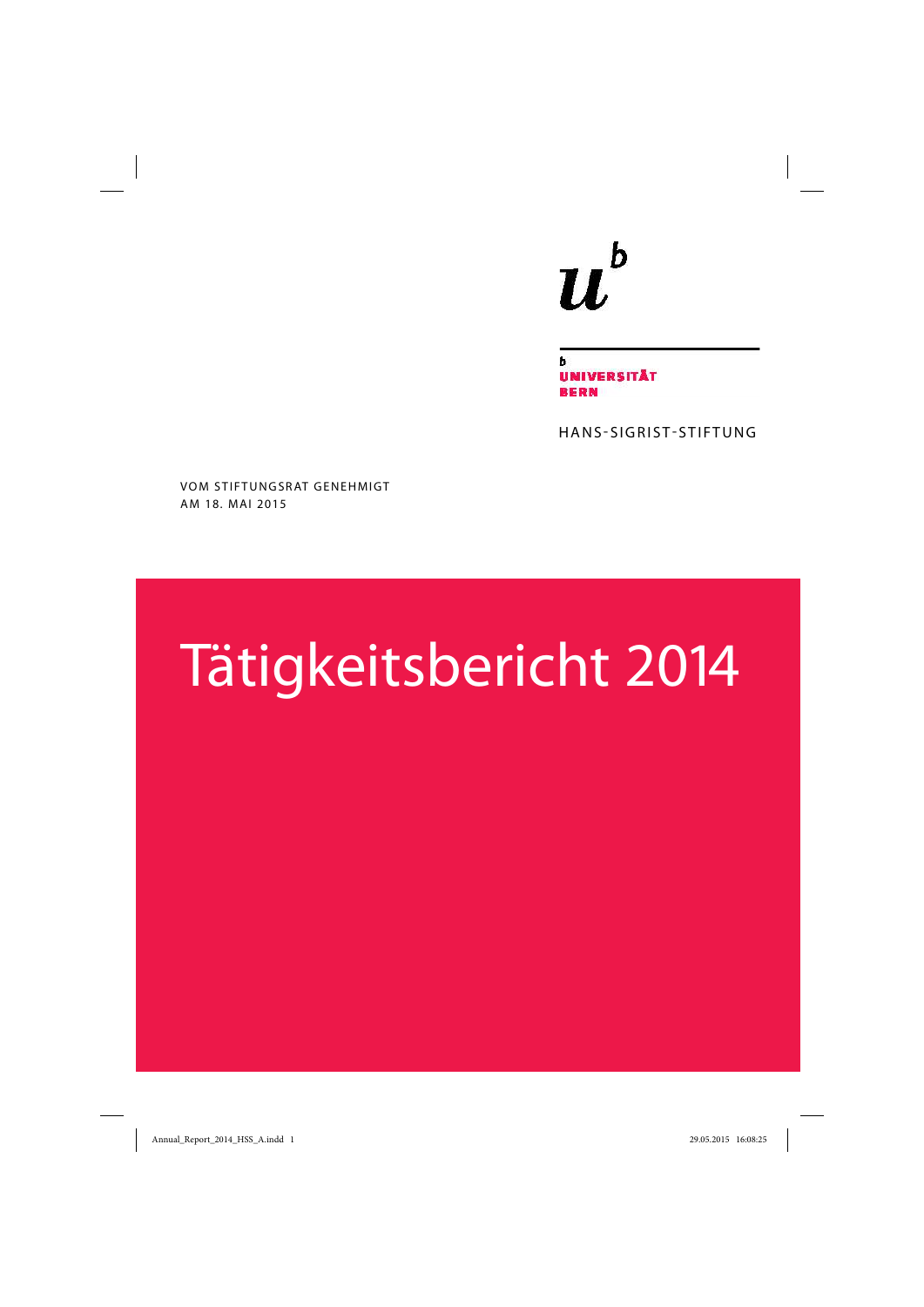# $\mathbf b$  $\boldsymbol{u}$

NIVERSITÄT **BERN** 

HANS-SIGRIST-STIFTUNG

VOM STIFTUNGSRAT GENEHMIGT AM 18. MAI 2015

# Tätigkeitsbericht 2014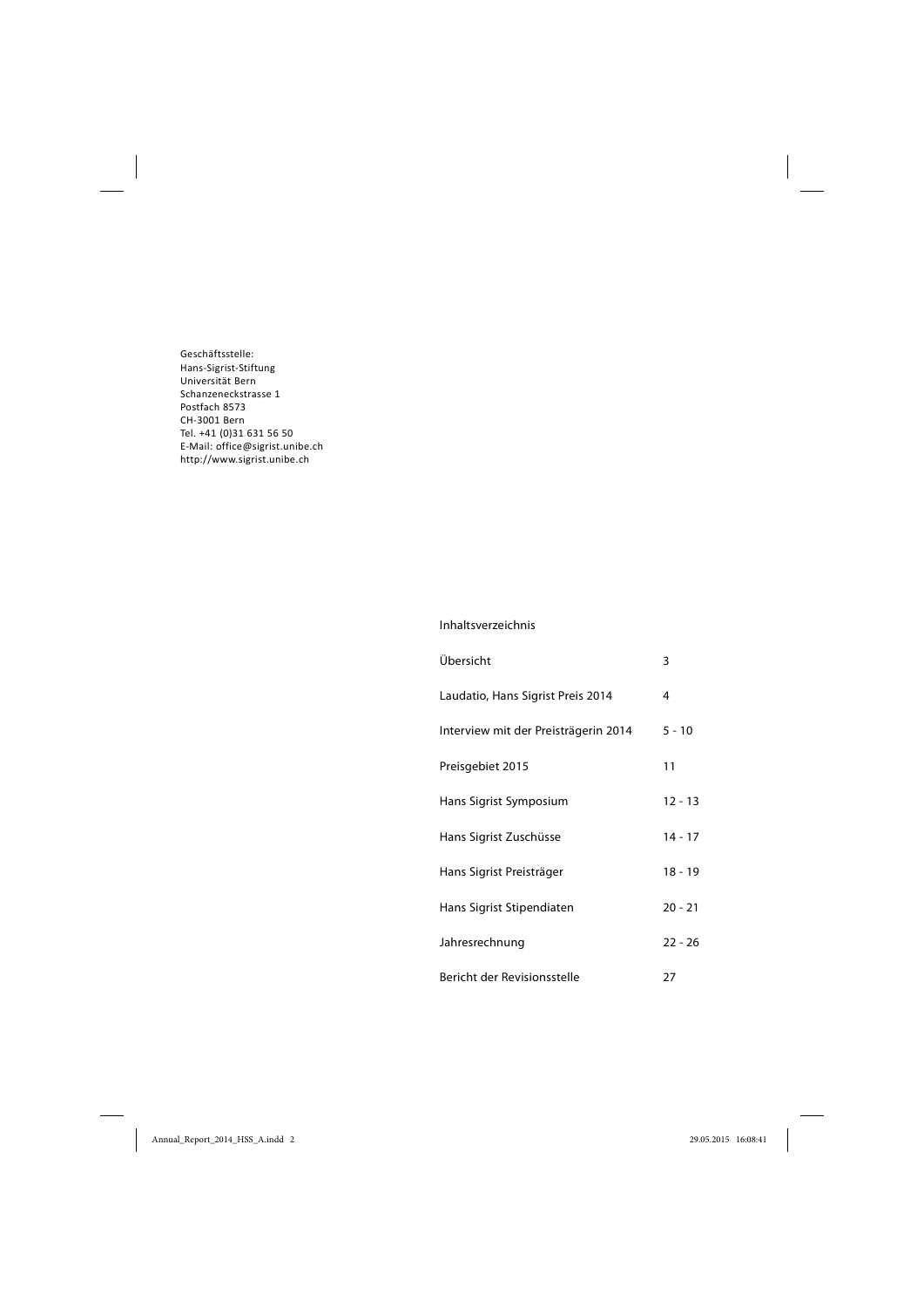Geschäftsstelle: Hans-Sigrist-Stiftung Universität Bern Schanzeneckstrasse 1 Postfach 8573 CH3001 Bern Tel. +41 (0)31 631 56 50 E-Mail: office@sigrist.unibe.ch http://www.sigrist.unibe.ch

#### Inhaltsverzeichnis

| Übersicht                            | 3         |
|--------------------------------------|-----------|
| Laudatio, Hans Sigrist Preis 2014    | 4         |
| Interview mit der Preisträgerin 2014 | $5 - 10$  |
| Preisgebiet 2015                     | 11        |
| Hans Sigrist Symposium               | $12 - 13$ |
| Hans Sigrist Zuschüsse               | $14 - 17$ |
| Hans Sigrist Preisträger             | $18 - 19$ |
| Hans Sigrist Stipendiaten            | $20 - 21$ |
| Jahresrechnung                       | $22 - 26$ |
| Bericht der Revisionsstelle          | 27        |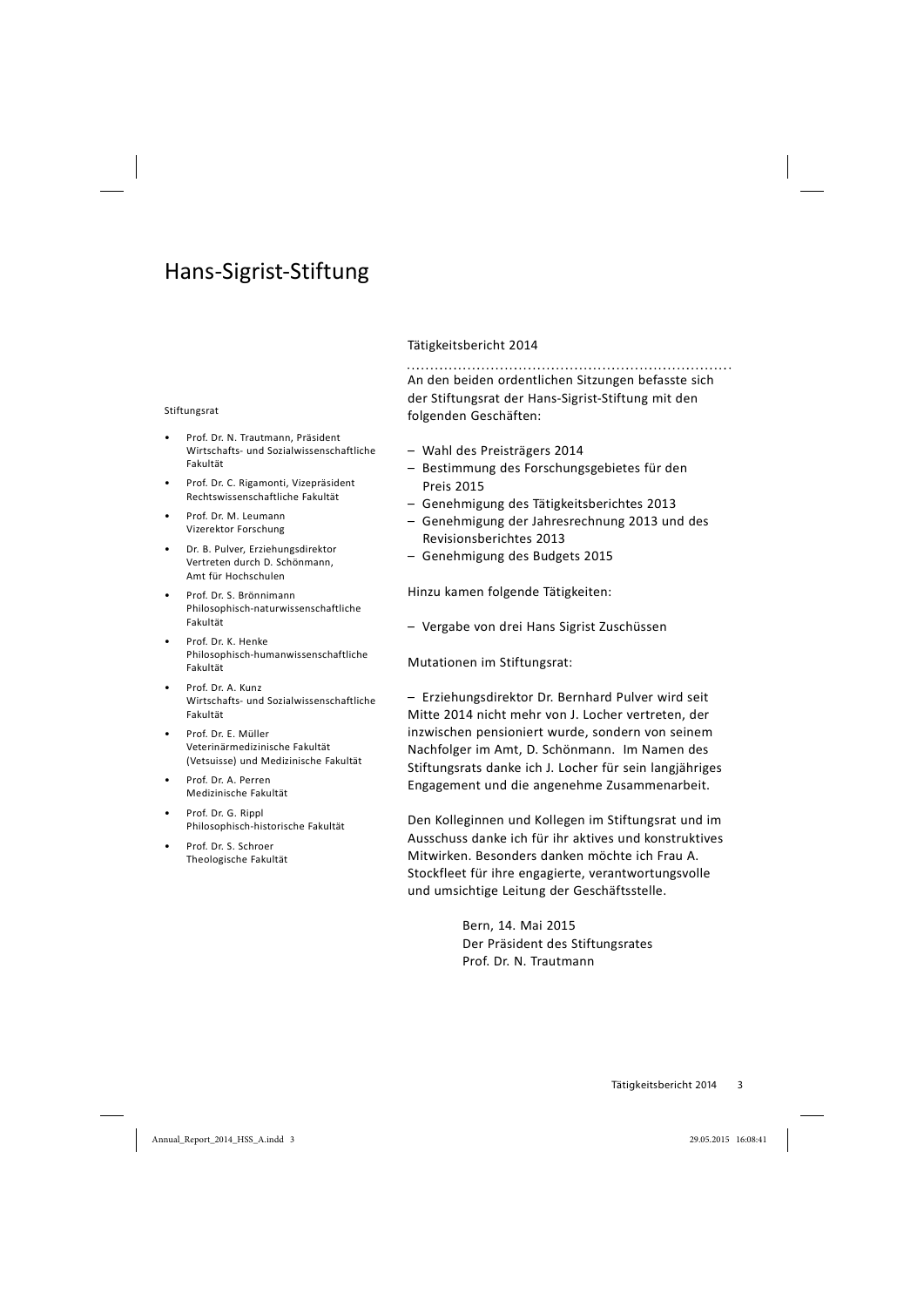# Hans-Sigrist-Stiftung

#### Stiftungsrat

- Prof. Dr. N. Trautmann, Präsident Wirtschafts- und Sozialwissenschaftliche Fakultät
- Prof. Dr. C. Rigamonti, Vizepräsident Rechtswissenschaftliche Fakultät
- Prof. Dr. M. Leumann Vizerektor Forschung
- Dr. B. Pulver, Erziehungsdirektor Vertreten durch D. Schönmann, Amt für Hochschulen
- Prof. Dr. S. Brönnimann Philosophisch-naturwissenschaftliche Fakultät
- Prof. Dr. K. Henke Philosophisch-humanwissenschaftliche Fakultät
- Prof. Dr. A. Kunz Wirtschafts- und Sozialwissenschaftliche Fakultät
- Prof. Dr. E. Müller Veterinärmedizinische Fakultät (Vetsuisse) und Medizinische Fakultät
- Prof. Dr. A. Perren Medizinische Fakultät
- Prof. Dr. G. Rippl Philosophisch-historische Fakultät
- Prof. Dr. S. Schroer Theologische Fakultät

#### Tätigkeitsbericht 2014

An den beiden ordentlichen Sitzungen befasste sich der Stiftungsrat der Hans-Sigrist-Stiftung mit den folgenden Geschäften:

- Wahl des Preisträgers 2014
- Bestimmung des Forschungsgebietes für den Preis 2015
- Genehmigung des Tätigkeitsberichtes 2013
- Genehmigung der Jahresrechnung 2013 und des Revisionsberichtes 2013
- Genehmigung des Budgets 2015

Hinzu kamen folgende Tätigkeiten:

– Vergabe von drei Hans Sigrist Zuschüssen

Mutationen im Stiftungsrat:

– Erziehungsdirektor Dr. Bernhard Pulver wird seit Mitte 2014 nicht mehr von J. Locher vertreten, der inzwischen pensioniert wurde, sondern von seinem Nachfolger im Amt, D. Schönmann. Im Namen des Stiftungsrats danke ich J. Locher für sein langjähriges Engagement und die angenehme Zusammenarbeit.

Den Kolleginnen und Kollegen im Stiftungsrat und im Ausschuss danke ich für ihr aktives und konstruktives Mitwirken. Besonders danken möchte ich Frau A. Stockfleet für ihre engagierte, verantwortungsvolle und umsichtige Leitung der Geschäftsstelle.

> Bern, 14. Mai 2015 Der Präsident des Stiftungsrates Prof. Dr. N. Trautmann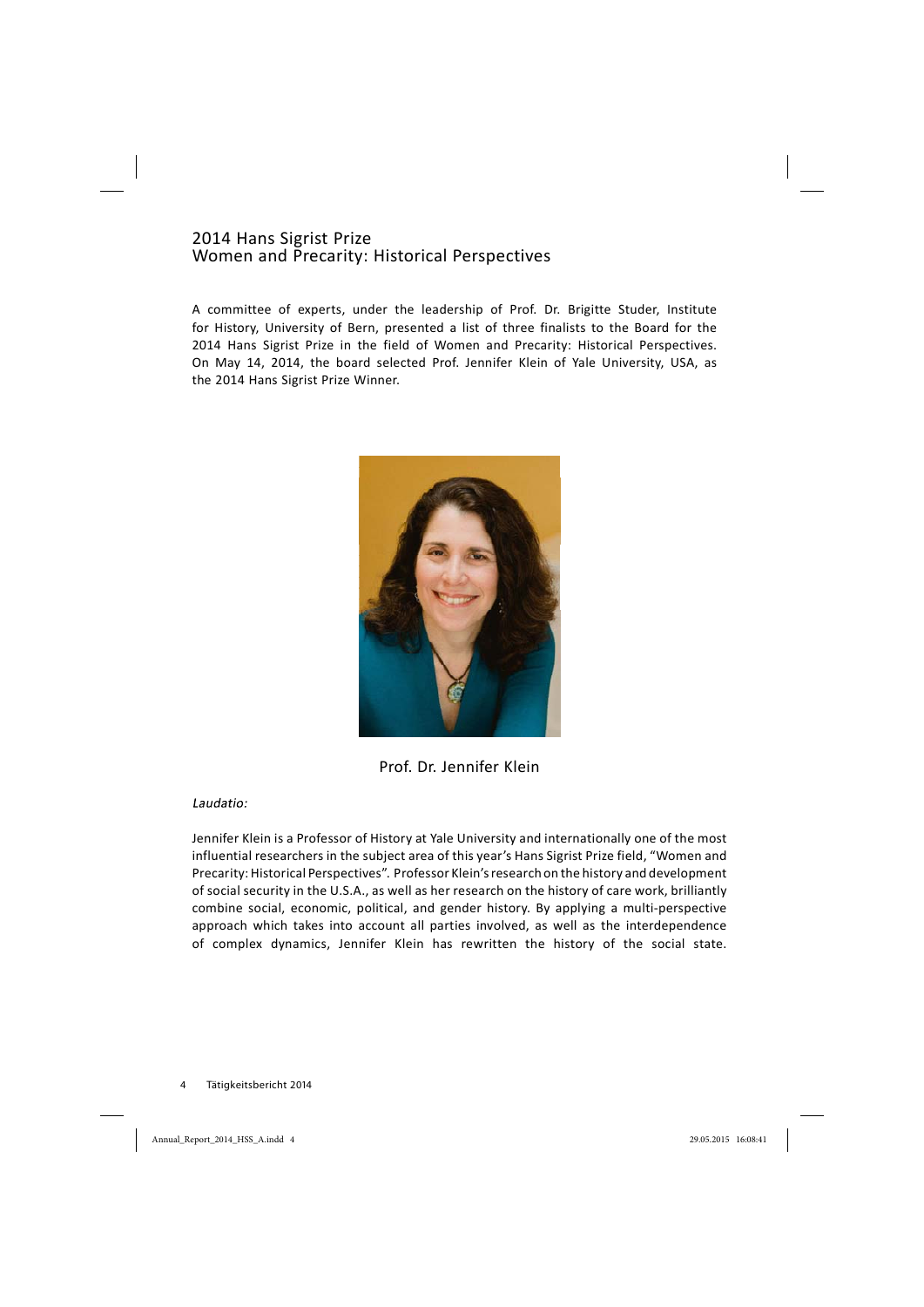#### 2014 Hans Sigrist Prize Women and Precarity: Historical Perspectives

A committee of experts, under the leadership of Prof. Dr. Brigitte Studer, Institute for History, University of Bern, presented a list of three finalists to the Board for the 2014 Hans Sigrist Prize in the field of Women and Precarity: Historical Perspectives. On May 14, 2014, the board selected Prof. Jennifer Klein of Yale University, USA, as the 2014 Hans Sigrist Prize Winner.



Prof. Dr. Jennifer Klein

#### Laudatio:

Jennifer Klein is a Professor of History at Yale University and internationally one of the most influential researchers in the subject area of this year's Hans Sigrist Prize field, "Women and Precarity: Historical Perspectives". Professor Klein'sresearch on the history and development of social security in the U.S.A., as well as her research on the history of care work, brilliantly combine social, economic, political, and gender history. By applying a multi-perspective approach which takes into account all parties involved, as well as the interdependence of complex dynamics, Jennifer Klein has rewritten the history of the social state.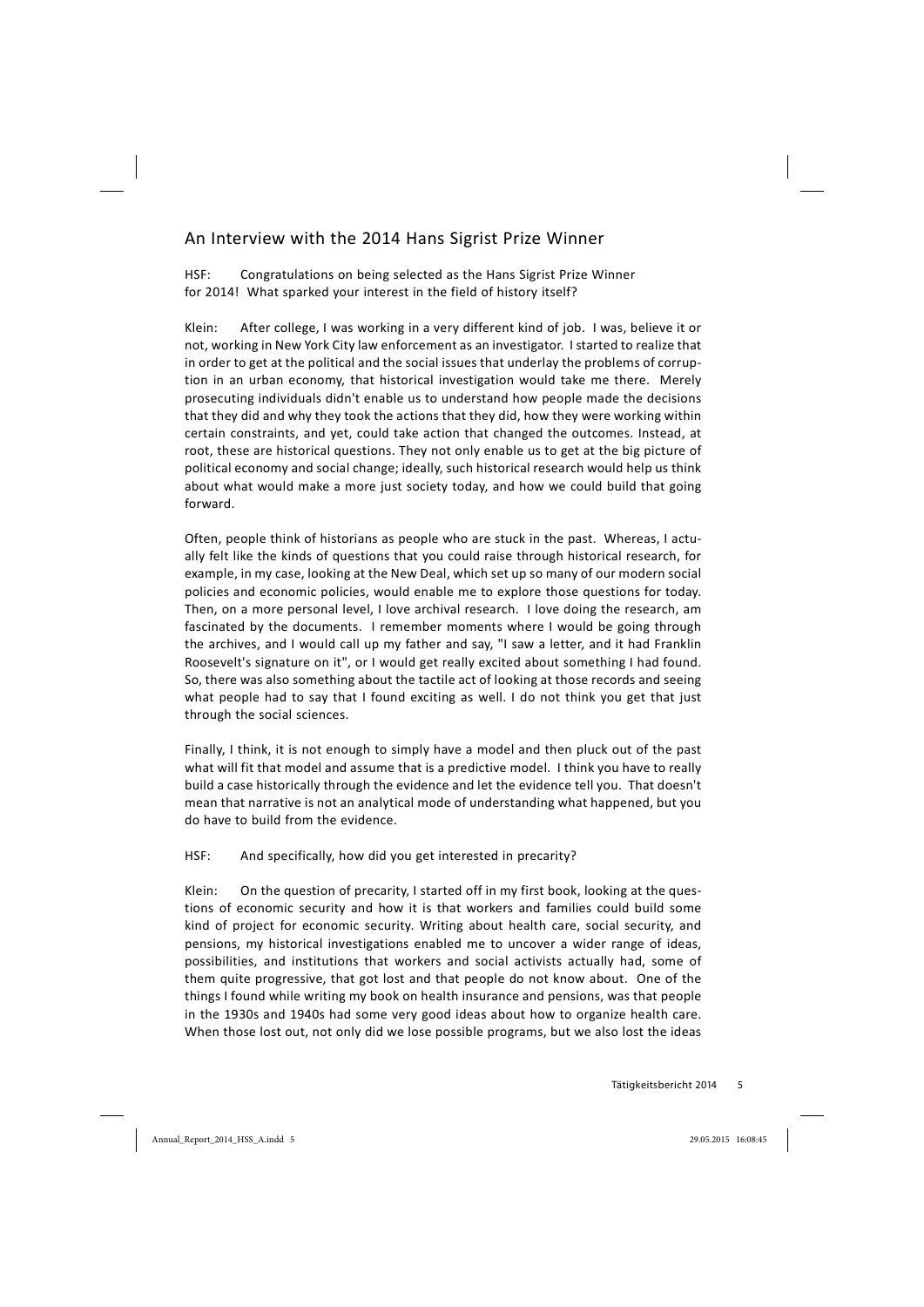# An Interview with the 2014 Hans Sigrist Prize Winner

HSF: Congratulations on being selected as the Hans Sigrist Prize Winner for 2014! What sparked your interest in the field of history itself?

Klein: After college, I was working in a very different kind of job. I was, believe it or not, working in New York City law enforcement as an investigator. I started to realize that in order to get at the political and the social issues that underlay the problems of corruption in an urban economy, that historical investigation would take me there. Merely prosecuting individuals didn't enable us to understand how people made the decisions that they did and why they took the actions that they did, how they were working within certain constraints, and yet, could take action that changed the outcomes. Instead, at root, these are historical questions. They not only enable us to get at the big picture of political economy and social change; ideally, such historical research would help us think about what would make a more just society today, and how we could build that going forward.

Often, people think of historians as people who are stuck in the past. Whereas, I actually felt like the kinds of questions that you could raise through historical research, for example, in my case, looking at the New Deal, which set up so many of our modern social policies and economic policies, would enable me to explore those questions for today. Then, on a more personal level, I love archival research. I love doing the research, am fascinated by the documents. I remember moments where I would be going through the archives, and I would call up my father and say, "I saw a letter, and it had Franklin Roosevelt's signature on it", or I would get really excited about something I had found. So, there was also something about the tactile act of looking at those records and seeing what people had to say that I found exciting as well. I do not think you get that just through the social sciences.

Finally, I think, it is not enough to simply have a model and then pluck out of the past what will fit that model and assume that is a predictive model. I think you have to really build a case historically through the evidence and let the evidence tell you. That doesn't mean that narrative is not an analytical mode of understanding what happened, but you do have to build from the evidence.

#### HSF: And specifically, how did you get interested in precarity?

Klein: On the question of precarity, I started off in my first book, looking at the questions of economic security and how it is that workers and families could build some kind of project for economic security. Writing about health care, social security, and pensions, my historical investigations enabled me to uncover a wider range of ideas, possibilities, and institutions that workers and social activists actually had, some of them quite progressive, that got lost and that people do not know about. One of the things I found while writing my book on health insurance and pensions, was that people in the 1930s and 1940s had some very good ideas about how to organize health care. When those lost out, not only did we lose possible programs, but we also lost the ideas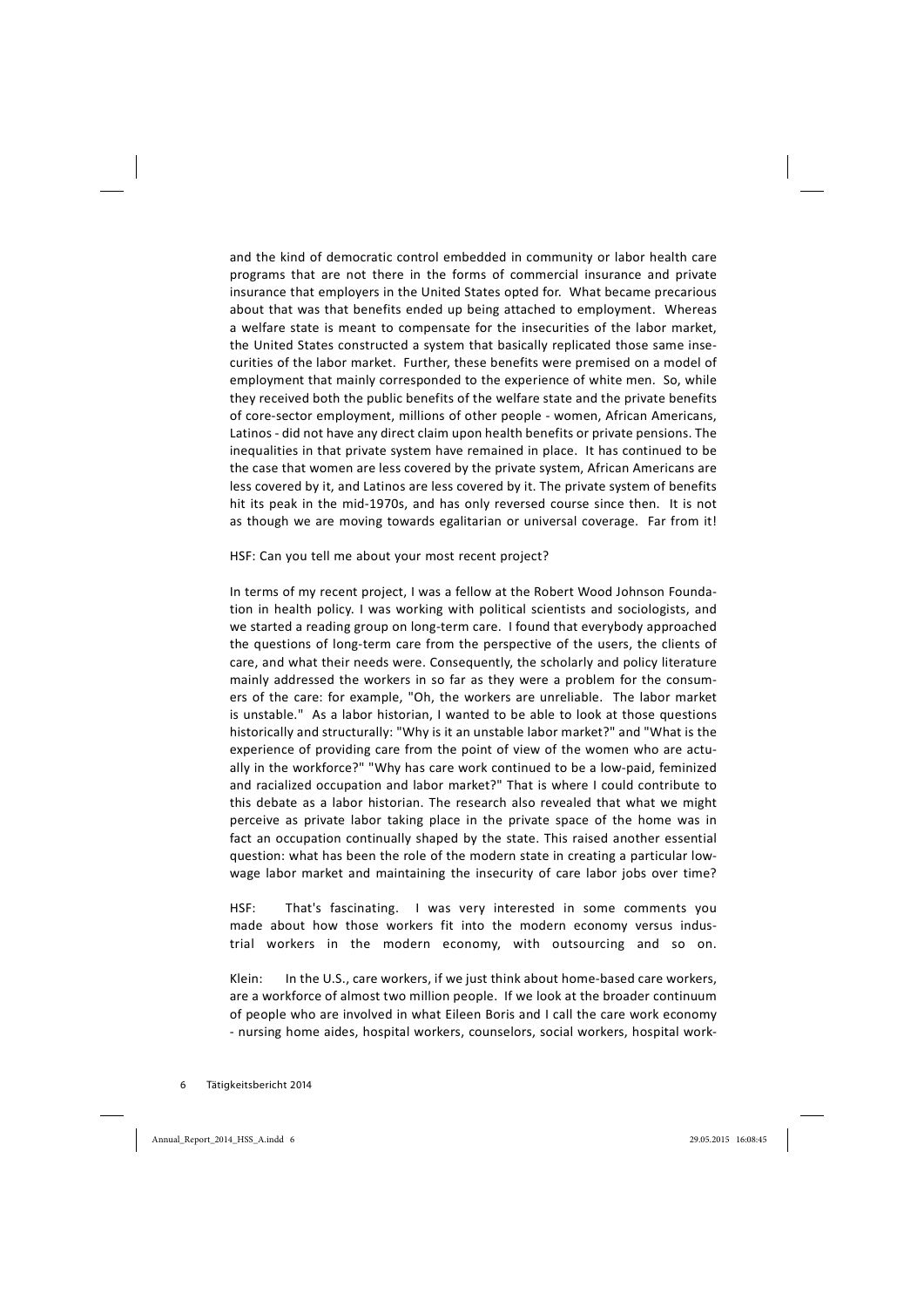and the kind of democratic control embedded in community or labor health care programs that are not there in the forms of commercial insurance and private insurance that employers in the United States opted for. What became precarious about that was that benefits ended up being attached to employment. Whereas a welfare state is meant to compensate for the insecurities of the labor market, the United States constructed a system that basically replicated those same insecurities of the labor market. Further, these benefits were premised on a model of employment that mainly corresponded to the experience of white men. So, while they received both the public benefits of the welfare state and the private benefits of core-sector employment, millions of other people - women, African Americans, Latinos - did not have any direct claim upon health benefits or private pensions. The inequalities in that private system have remained in place. It has continued to be the case that women are less covered by the private system, African Americans are less covered by it, and Latinos are less covered by it. The private system of benefits hit its peak in the mid-1970s, and has only reversed course since then. It is not as though we are moving towards egalitarian or universal coverage. Far from it!

HSF: Can you tell me about your most recent project?

In terms of my recent project, I was a fellow at the Robert Wood Johnson Foundation in health policy. I was working with political scientists and sociologists, and we started a reading group on long-term care. I found that everybody approached the questions of long-term care from the perspective of the users, the clients of care, and what their needs were. Consequently, the scholarly and policy literature mainly addressed the workers in so far as they were a problem for the consumers of the care: for example, "Oh, the workers are unreliable. The labor market is unstable." As a labor historian, I wanted to be able to look at those questions historically and structurally: "Why is it an unstable labor market?" and "What is the experience of providing care from the point of view of the women who are actually in the workforce?" "Why has care work continued to be a low-paid, feminized and racialized occupation and labor market?" That is where I could contribute to this debate as a labor historian. The research also revealed that what we might perceive as private labor taking place in the private space of the home was in fact an occupation continually shaped by the state. This raised another essential question: what has been the role of the modern state in creating a particular lowwage labor market and maintaining the insecurity of care labor jobs over time?

HSF: That's fascinating. I was very interested in some comments you made about how those workers fit into the modern economy versus industrial workers in the modern economy, with outsourcing and so on.

Klein: In the U.S., care workers, if we just think about home-based care workers, are a workforce of almost two million people. If we look at the broader continuum of people who are involved in what Eileen Boris and I call the care work economy nursing home aides, hospital workers, counselors, social workers, hospital work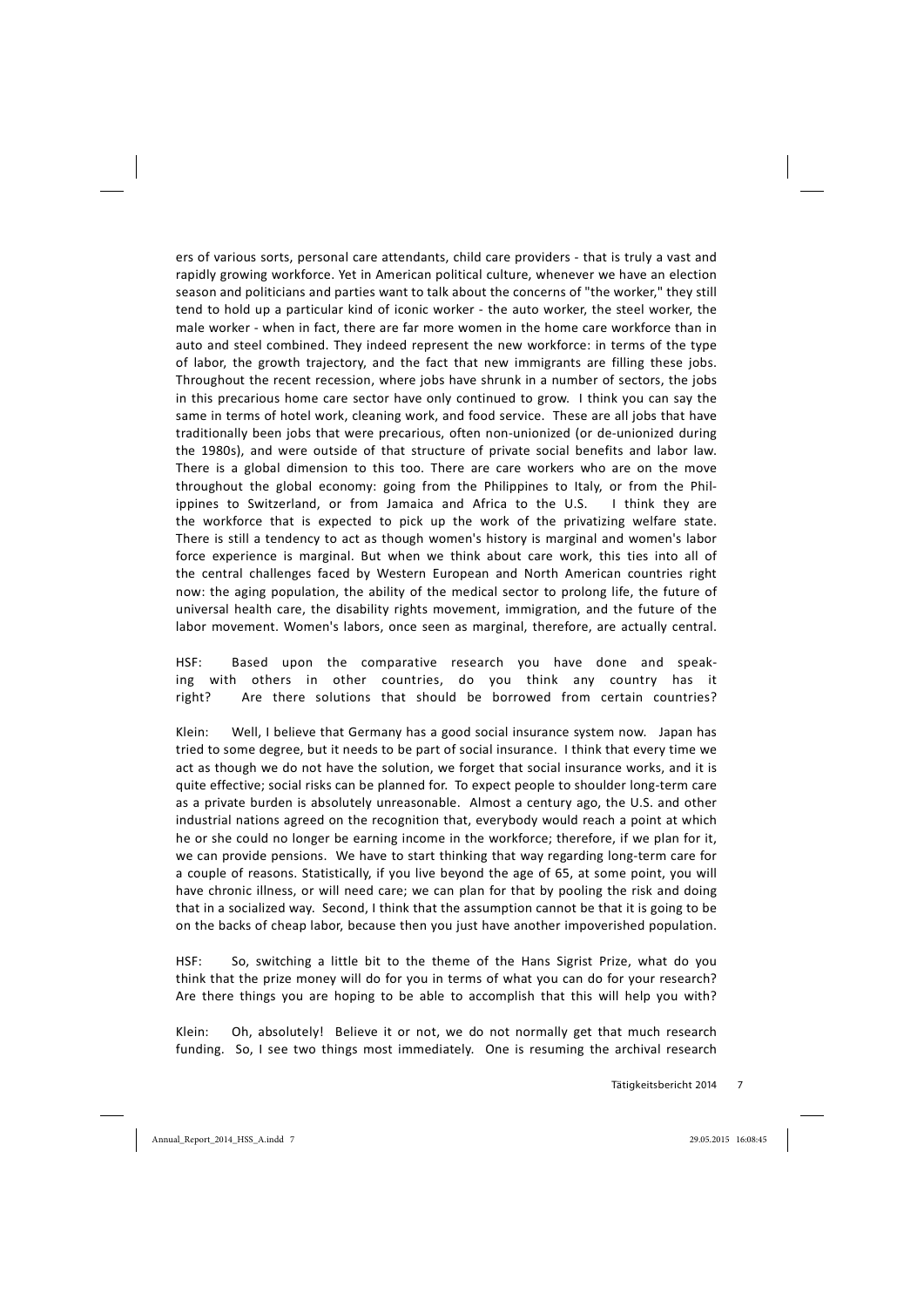ers of various sorts, personal care attendants, child care providers - that is truly a vast and rapidly growing workforce. Yet in American political culture, whenever we have an election season and politicians and parties want to talk about the concerns of "the worker," they still tend to hold up a particular kind of iconic worker the auto worker, the steel worker, the male worker - when in fact, there are far more women in the home care workforce than in auto and steel combined. They indeed represent the new workforce: in terms of the type of labor, the growth trajectory, and the fact that new immigrants are filling these jobs. Throughout the recent recession, where jobs have shrunk in a number of sectors, the jobs in this precarious home care sector have only continued to grow. I think you can say the same in terms of hotel work, cleaning work, and food service. These are all jobs that have traditionally been jobs that were precarious, often non-unionized (or de-unionized during the 1980s), and were outside of that structure of private social benefits and labor law. There is a global dimension to this too. There are care workers who are on the move throughout the global economy: going from the Philippines to Italy, or from the Philippines to Switzerland, or from Jamaica and Africa to the U.S. I think they are the workforce that is expected to pick up the work of the privatizing welfare state. There is still a tendency to act as though women's history is marginal and women's labor force experience is marginal. But when we think about care work, this ties into all of the central challenges faced by Western European and North American countries right now: the aging population, the ability of the medical sector to prolong life, the future of universal health care, the disability rights movement, immigration, and the future of the labor movement. Women's labors, once seen as marginal, therefore, are actually central.

HSF: Based upon the comparative research you have done and speaking with others in other countries, do you think any country has it right? Are there solutions that should be borrowed from certain countries?

Klein: Well, I believe that Germany has a good social insurance system now. Japan has tried to some degree, but it needs to be part of social insurance. I think that every time we act as though we do not have the solution, we forget that social insurance works, and it is quite effective; social risks can be planned for. To expect people to shoulder long-term care as a private burden is absolutely unreasonable. Almost a century ago, the U.S. and other industrial nations agreed on the recognition that, everybody would reach a point at which he or she could no longer be earning income in the workforce; therefore, if we plan for it, we can provide pensions. We have to start thinking that way regarding long-term care for a couple of reasons. Statistically, if you live beyond the age of 65, at some point, you will have chronic illness, or will need care; we can plan for that by pooling the risk and doing that in a socialized way. Second, I think that the assumption cannot be that it is going to be on the backs of cheap labor, because then you just have another impoverished population.

HSF: So, switching a little bit to the theme of the Hans Sigrist Prize, what do you think that the prize money will do for you in terms of what you can do for your research? Are there things you are hoping to be able to accomplish that this will help you with?

Klein: Oh, absolutely! Believe it or not, we do not normally get that much research funding. So, I see two things most immediately. One is resuming the archival research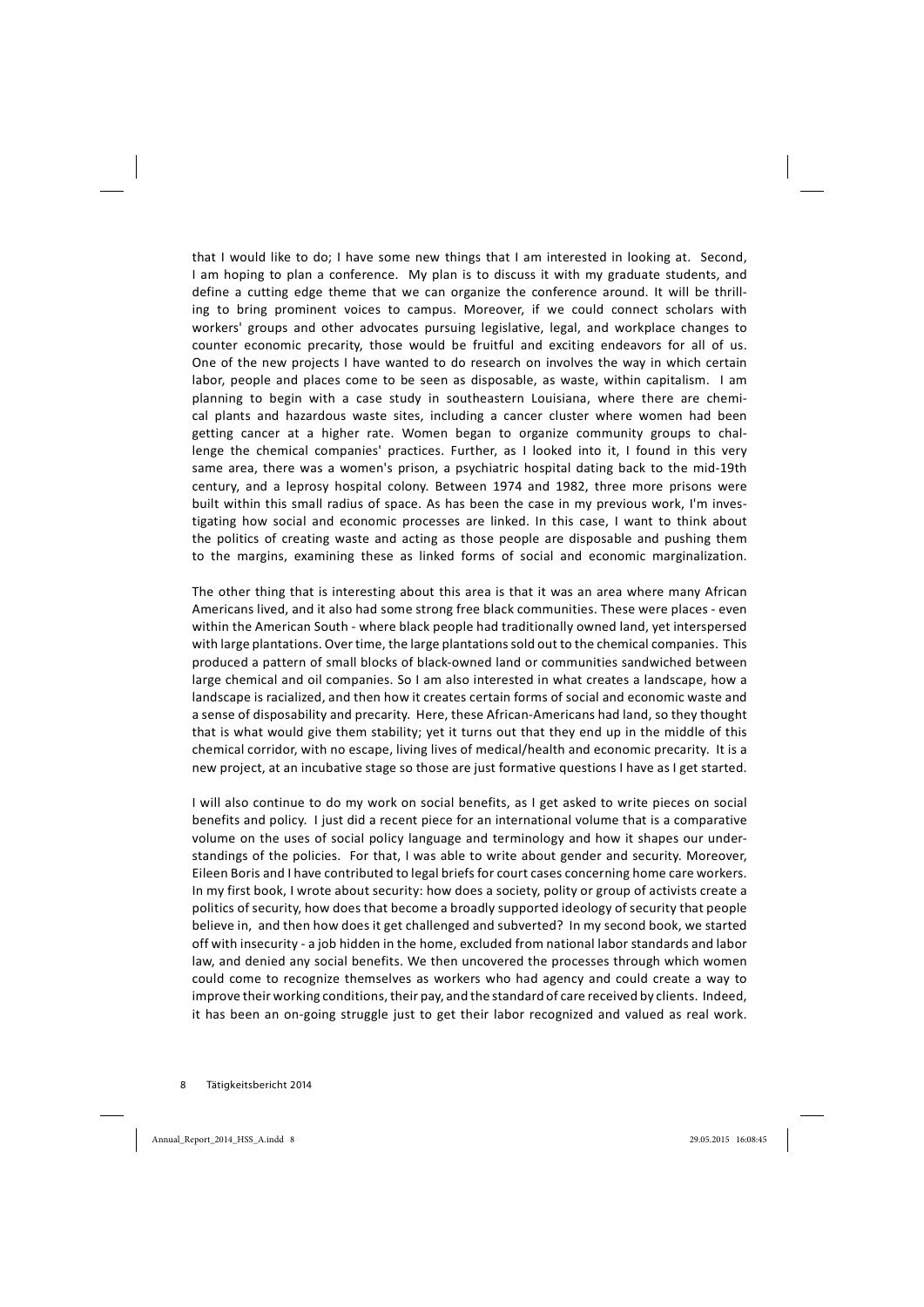that I would like to do; I have some new things that I am interested in looking at. Second, I am hoping to plan a conference. My plan is to discuss it with my graduate students, and define a cutting edge theme that we can organize the conference around. It will be thrilling to bring prominent voices to campus. Moreover, if we could connect scholars with workers' groups and other advocates pursuing legislative, legal, and workplace changes to counter economic precarity, those would be fruitful and exciting endeavors for all of us. One of the new projects I have wanted to do research on involves the way in which certain labor, people and places come to be seen as disposable, as waste, within capitalism. I am planning to begin with a case study in southeastern Louisiana, where there are chemical plants and hazardous waste sites, including a cancer cluster where women had been getting cancer at a higher rate. Women began to organize community groups to challenge the chemical companies' practices. Further, as I looked into it, I found in this very same area, there was a women's prison, a psychiatric hospital dating back to the mid-19th century, and a leprosy hospital colony. Between 1974 and 1982, three more prisons were built within this small radius of space. As has been the case in my previous work, I'm investigating how social and economic processes are linked. In this case, I want to think about the politics of creating waste and acting as those people are disposable and pushing them to the margins, examining these as linked forms of social and economic marginalization.

The other thing that is interesting about this area is that it was an area where many African Americans lived, and it also had some strong free black communities. These were places - even within the American South - where black people had traditionally owned land, yet interspersed with large plantations. Over time, the large plantationssold out to the chemical companies. This produced a pattern of small blocks of black-owned land or communities sandwiched between large chemical and oil companies. So I am also interested in what creates a landscape, how a landscape is racialized, and then how it creates certain forms of social and economic waste and a sense of disposability and precarity. Here, these African-Americans had land, so they thought that is what would give them stability; yet it turns out that they end up in the middle of this chemical corridor, with no escape, living lives of medical/health and economic precarity. It is a new project, at an incubative stage so those are just formative questions I have as I get started.

I will also continue to do my work on social benefits, as I get asked to write pieces on social benefits and policy. I just did a recent piece for an international volume that is a comparative volume on the uses of social policy language and terminology and how it shapes our understandings of the policies. For that, I was able to write about gender and security. Moreover, Eileen Boris and I have contributed to legal briefsfor court cases concerning home care workers. In my first book, I wrote about security: how does a society, polity or group of activists create a politics of security, how does that become a broadly supported ideology of security that people believe in, and then how does it get challenged and subverted? In my second book, we started off with insecurity a job hidden in the home, excluded from national labor standards and labor law, and denied any social benefits. We then uncovered the processes through which women could come to recognize themselves as workers who had agency and could create a way to improve their working conditions, their pay, and the standard of care received by clients. Indeed, it has been an on-going struggle just to get their labor recognized and valued as real work.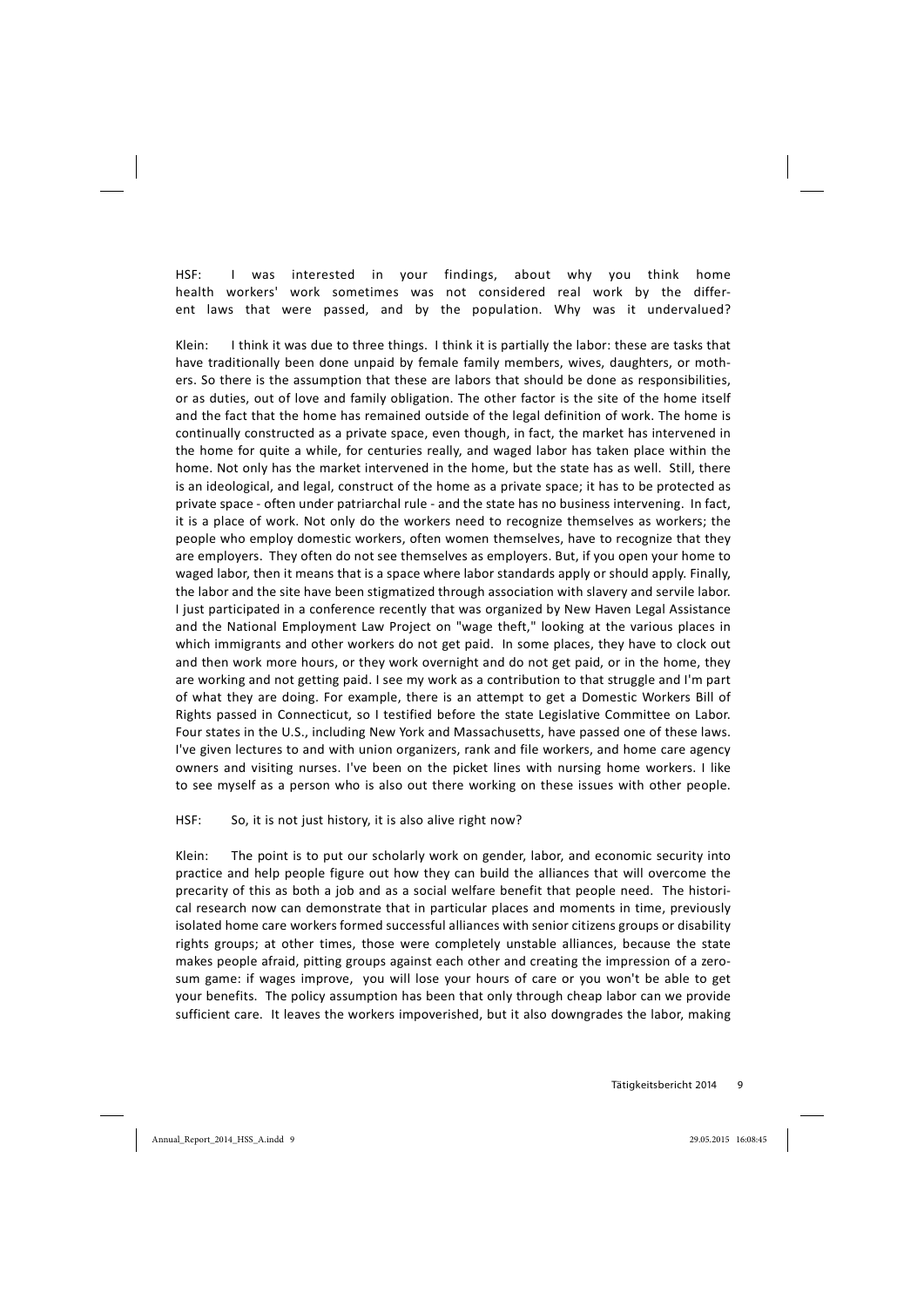HSF: I was interested in your findings, about why you think home health workers' work sometimes was not considered real work by the different laws that were passed, and by the population. Why was it undervalued?

Klein: I think it was due to three things. I think it is partially the labor: these are tasks that have traditionally been done unpaid by female family members, wives, daughters, or mothers. So there is the assumption that these are labors that should be done as responsibilities, or as duties, out of love and family obligation. The other factor is the site of the home itself and the fact that the home has remained outside of the legal definition of work. The home is continually constructed as a private space, even though, in fact, the market has intervened in the home for quite a while, for centuries really, and waged labor has taken place within the home. Not only has the market intervened in the home, but the state has as well. Still, there is an ideological, and legal, construct of the home as a private space; it has to be protected as private space - often under patriarchal rule - and the state has no business intervening. In fact, it is a place of work. Not only do the workers need to recognize themselves as workers; the people who employ domestic workers, often women themselves, have to recognize that they are employers. They often do not see themselves as employers. But, if you open your home to waged labor, then it means that is a space where labor standards apply or should apply. Finally, the labor and the site have been stigmatized through association with slavery and servile labor. I just participated in a conference recently that was organized by New Haven Legal Assistance and the National Employment Law Project on "wage theft," looking at the various places in which immigrants and other workers do not get paid. In some places, they have to clock out and then work more hours, or they work overnight and do not get paid, or in the home, they are working and not getting paid. I see my work as a contribution to that struggle and I'm part of what they are doing. For example, there is an attempt to get a Domestic Workers Bill of Rights passed in Connecticut, so I testified before the state Legislative Committee on Labor. Four states in the U.S., including New York and Massachusetts, have passed one of these laws. I've given lectures to and with union organizers, rank and file workers, and home care agency owners and visiting nurses. I've been on the picket lines with nursing home workers. I like to see myself as a person who is also out there working on these issues with other people.

HSF: So, it is not just history, it is also alive right now?

Klein: The point is to put our scholarly work on gender, labor, and economic security into practice and help people figure out how they can build the alliances that will overcome the precarity of this as both a job and as a social welfare benefit that people need. The historical research now can demonstrate that in particular places and moments in time, previously isolated home care workers formed successful alliances with senior citizens groups or disability rights groups; at other times, those were completely unstable alliances, because the state makes people afraid, pitting groups against each other and creating the impression of a zerosum game: if wages improve, you will lose your hours of care or you won't be able to get your benefits. The policy assumption has been that only through cheap labor can we provide sufficient care. It leaves the workers impoverished, but it also downgrades the labor, making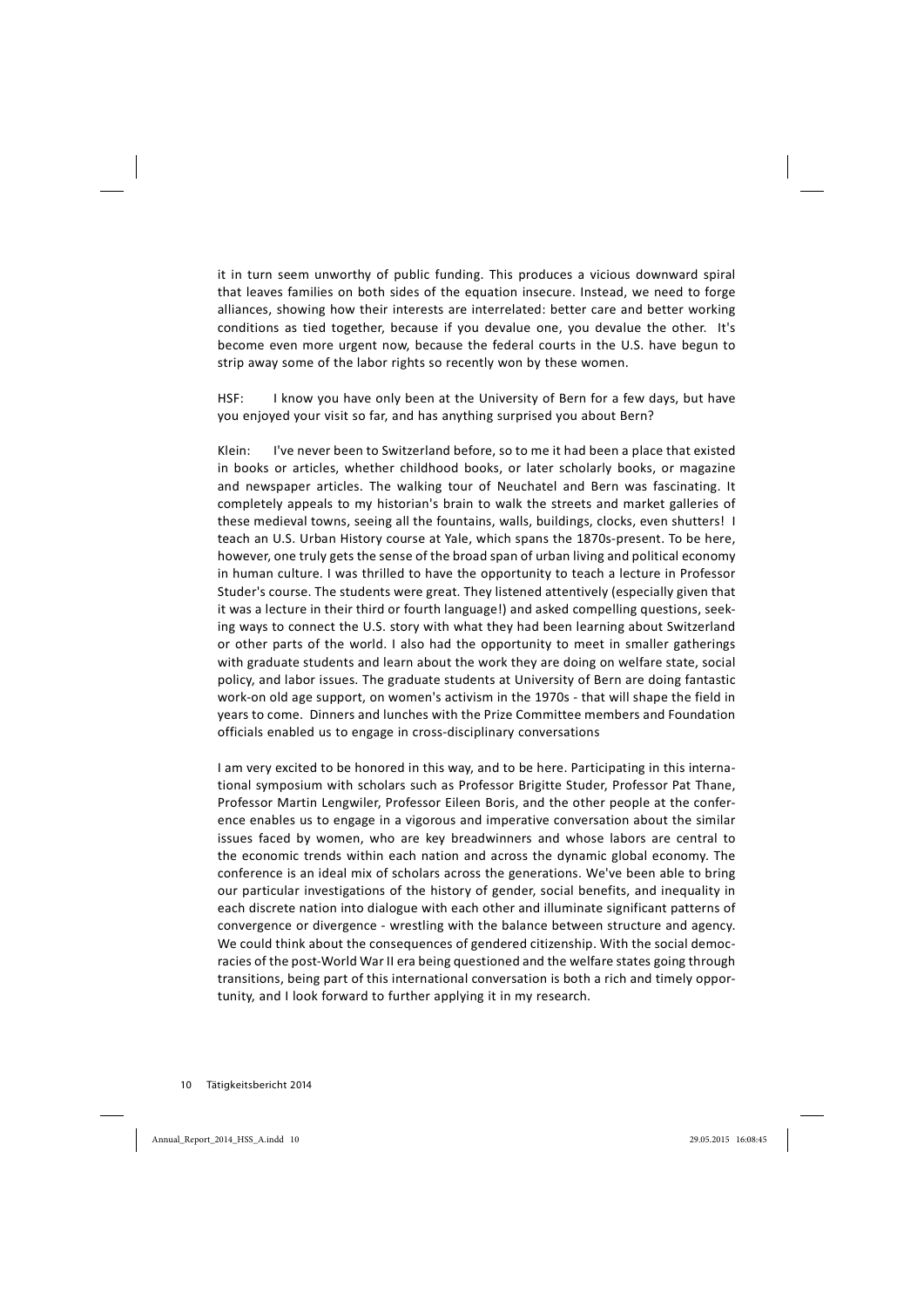it in turn seem unworthy of public funding. This produces a vicious downward spiral that leaves families on both sides of the equation insecure. Instead, we need to forge alliances, showing how their interests are interrelated: better care and better working conditions as tied together, because if you devalue one, you devalue the other. It's become even more urgent now, because the federal courts in the U.S. have begun to strip away some of the labor rights so recently won by these women.

HSF: I know you have only been at the University of Bern for a few days, but have you enjoyed your visit so far, and has anything surprised you about Bern?

Klein: I've never been to Switzerland before, so to me it had been a place that existed in books or articles, whether childhood books, or later scholarly books, or magazine and newspaper articles. The walking tour of Neuchatel and Bern was fascinating. It completely appeals to my historian's brain to walk the streets and market galleries of these medieval towns, seeing all the fountains, walls, buildings, clocks, even shutters! I teach an U.S. Urban History course at Yale, which spans the 1870s-present. To be here, however, one truly gets the sense of the broad span of urban living and political economy in human culture. I was thrilled to have the opportunity to teach a lecture in Professor Studer's course. The students were great. They listened attentively (especially given that it was a lecture in their third or fourth language!) and asked compelling questions, seeking ways to connect the U.S. story with what they had been learning about Switzerland or other parts of the world. I also had the opportunity to meet in smaller gatherings with graduate students and learn about the work they are doing on welfare state, social policy, and labor issues. The graduate students at University of Bern are doing fantastic work-on old age support, on women's activism in the 1970s - that will shape the field in years to come. Dinners and lunches with the Prize Committee members and Foundation officials enabled us to engage in cross-disciplinary conversations

I am very excited to be honored in this way, and to be here. Participating in this international symposium with scholars such as Professor Brigitte Studer, Professor Pat Thane, Professor Martin Lengwiler, Professor Eileen Boris, and the other people at the conference enables us to engage in a vigorous and imperative conversation about the similar issues faced by women, who are key breadwinners and whose labors are central to the economic trends within each nation and across the dynamic global economy. The conference is an ideal mix of scholars across the generations. We've been able to bring our particular investigations of the history of gender, social benefits, and inequality in each discrete nation into dialogue with each other and illuminate significant patterns of convergence or divergence - wrestling with the balance between structure and agency. We could think about the consequences of gendered citizenship. With the social democracies of the post-World War II era being questioned and the welfare states going through transitions, being part of this international conversation is both a rich and timely opportunity, and I look forward to further applying it in my research.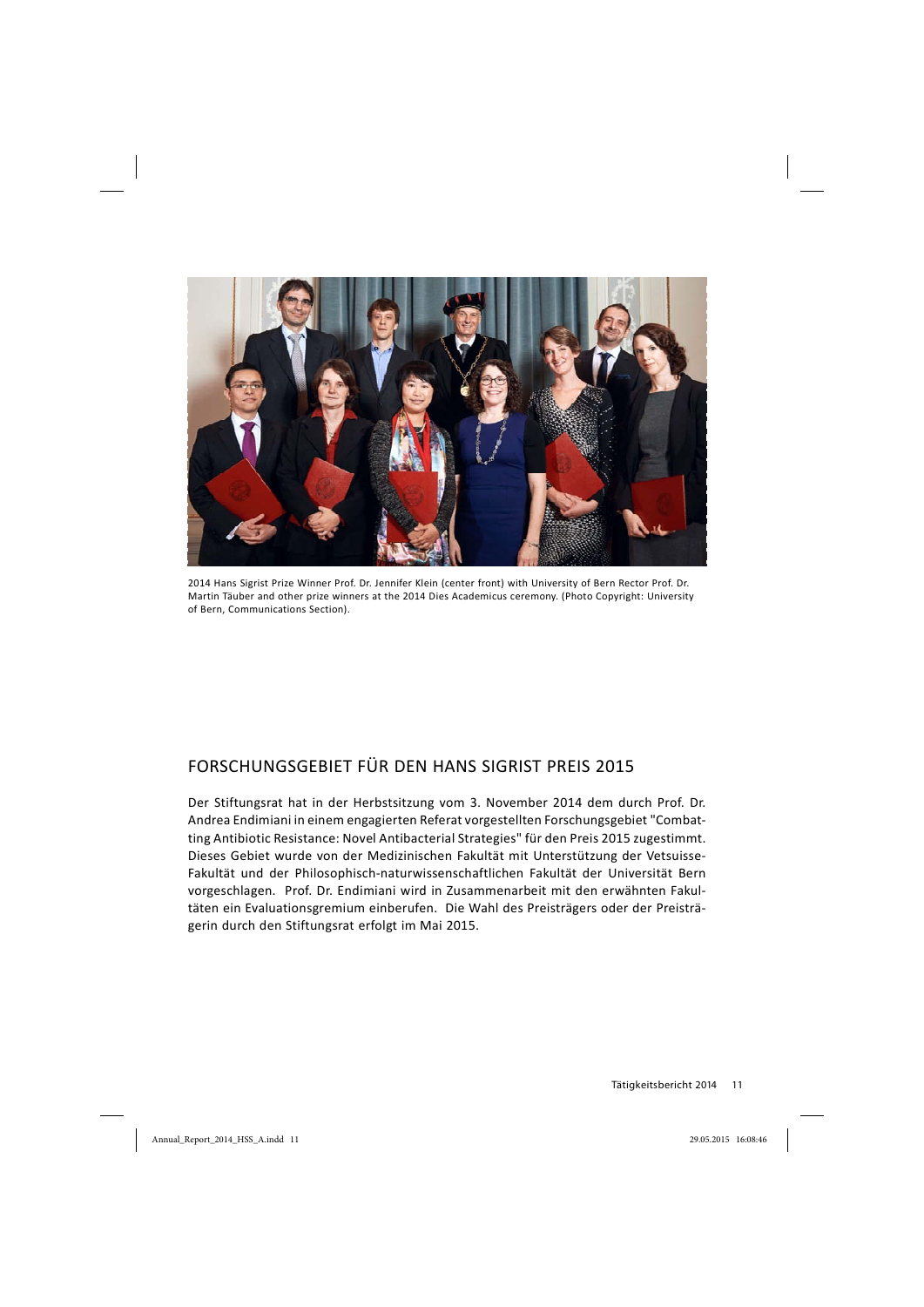

2014 Hans Sigrist Prize Winner Prof. Dr. Jennifer Klein (center front) with University of Bern Rector Prof. Dr. Martin Täuber and other prize winners at the 2014 Dies Academicus ceremony. (Photo Copyright: University of Bern, Communications Section).

# FORSCHUNGSGEBIET FÜR DEN HANS SIGRIST PREIS 2015

Der Stiftungsrat hat in der Herbstsitzung vom 3. November 2014 dem durch Prof. Dr. Andrea Endimiani in einem engagierten Referat vorgestellten Forschungsgebiet "Combatting Antibiotic Resistance: Novel Antibacterial Strategies" für den Preis 2015 zugestimmt. Dieses Gebiet wurde von der Medizinischen Fakultät mit Unterstützung der Vetsuisse-Fakultät und der Philosophisch-naturwissenschaftlichen Fakultät der Universität Bern vorgeschlagen. Prof. Dr. Endimiani wird in Zusammenarbeit mit den erwähnten Fakultäten ein Evaluationsgremium einberufen. Die Wahl des Preisträgers oder der Preisträgerin durch den Stiftungsrat erfolgt im Mai 2015.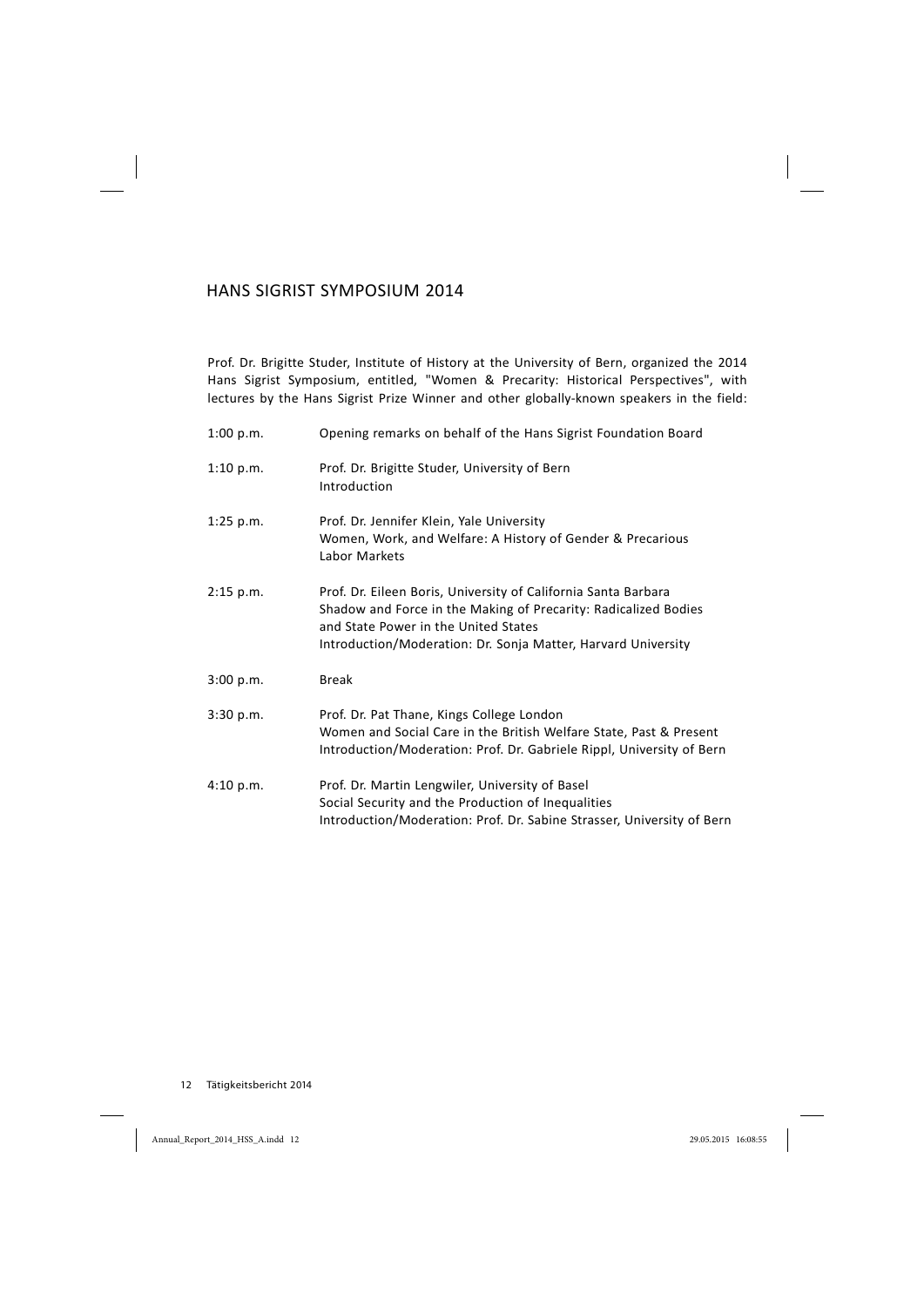#### HANS SIGRIST SYMPOSIUM 2014

Prof. Dr. Brigitte Studer, Institute of History at the University of Bern, organized the 2014 Hans Sigrist Symposium, entitled, "Women & Precarity: Historical Perspectives", with lectures by the Hans Sigrist Prize Winner and other globally-known speakers in the field:

| 1:00 p.m.   | Opening remarks on behalf of the Hans Sigrist Foundation Board                                                                                                                                                                             |  |
|-------------|--------------------------------------------------------------------------------------------------------------------------------------------------------------------------------------------------------------------------------------------|--|
| 1:10 p.m.   | Prof. Dr. Brigitte Studer, University of Bern<br>Introduction                                                                                                                                                                              |  |
| $1:25$ p.m. | Prof. Dr. Jennifer Klein, Yale University<br>Women, Work, and Welfare: A History of Gender & Precarious<br>Labor Markets                                                                                                                   |  |
| $2:15$ p.m. | Prof. Dr. Eileen Boris, University of California Santa Barbara<br>Shadow and Force in the Making of Precarity: Radicalized Bodies<br>and State Power in the United States<br>Introduction/Moderation: Dr. Sonja Matter, Harvard University |  |
| 3:00 p.m.   | <b>Break</b>                                                                                                                                                                                                                               |  |
| 3:30 p.m.   | Prof. Dr. Pat Thane, Kings College London<br>Women and Social Care in the British Welfare State, Past & Present<br>Introduction/Moderation: Prof. Dr. Gabriele Rippl, University of Bern                                                   |  |
| 4:10 p.m.   | Prof. Dr. Martin Lengwiler, University of Basel<br>Social Security and the Production of Inequalities<br>Introduction/Moderation: Prof. Dr. Sabine Strasser, University of Bern                                                            |  |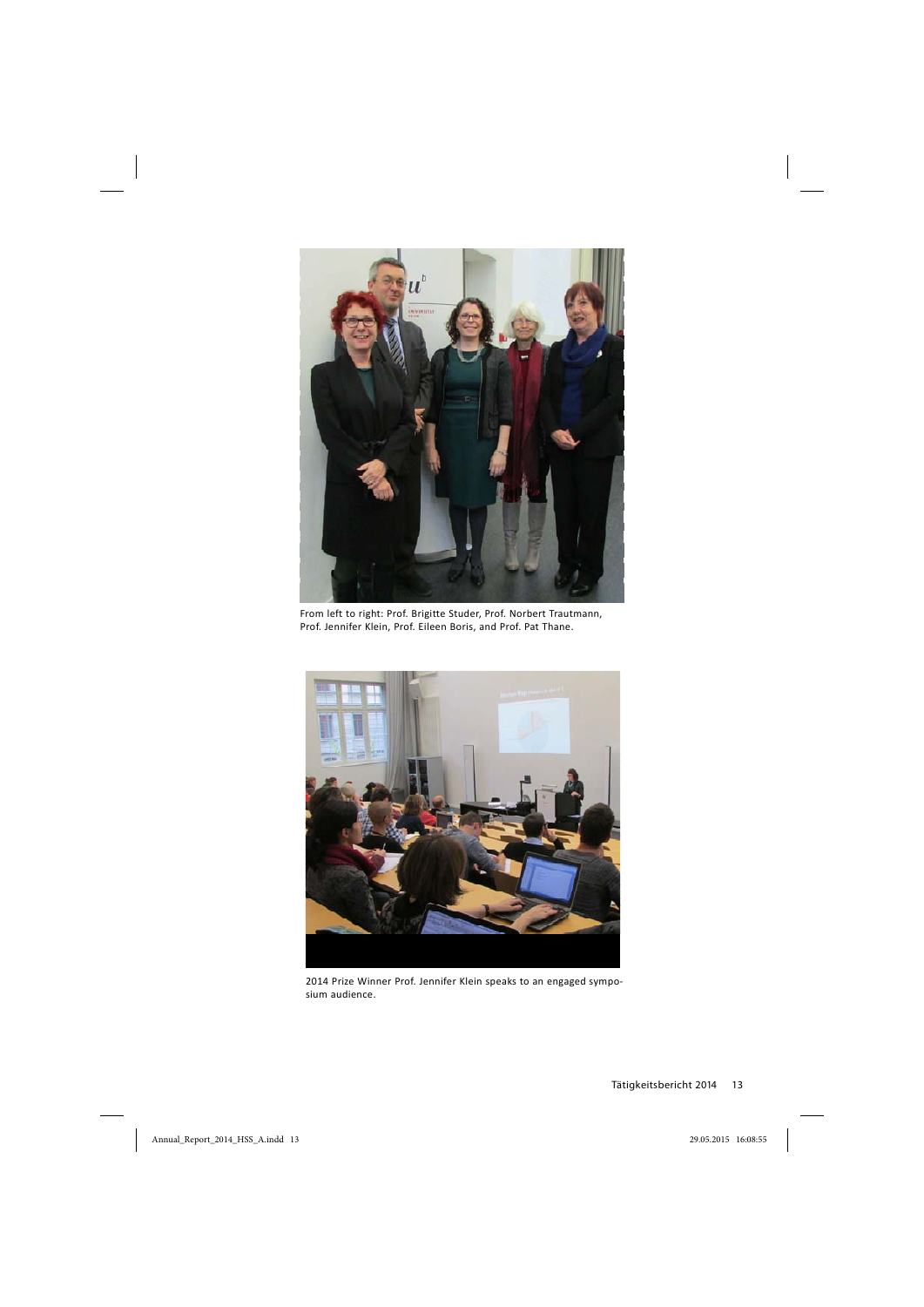

From left to right: Prof. Brigitte Studer, Prof. Norbert Trautmann, Prof. Jennifer Klein, Prof. Eileen Boris, and Prof. Pat Thane.



2014 Prize Winner Prof. Jennifer Klein speaks to an engaged symposium audience.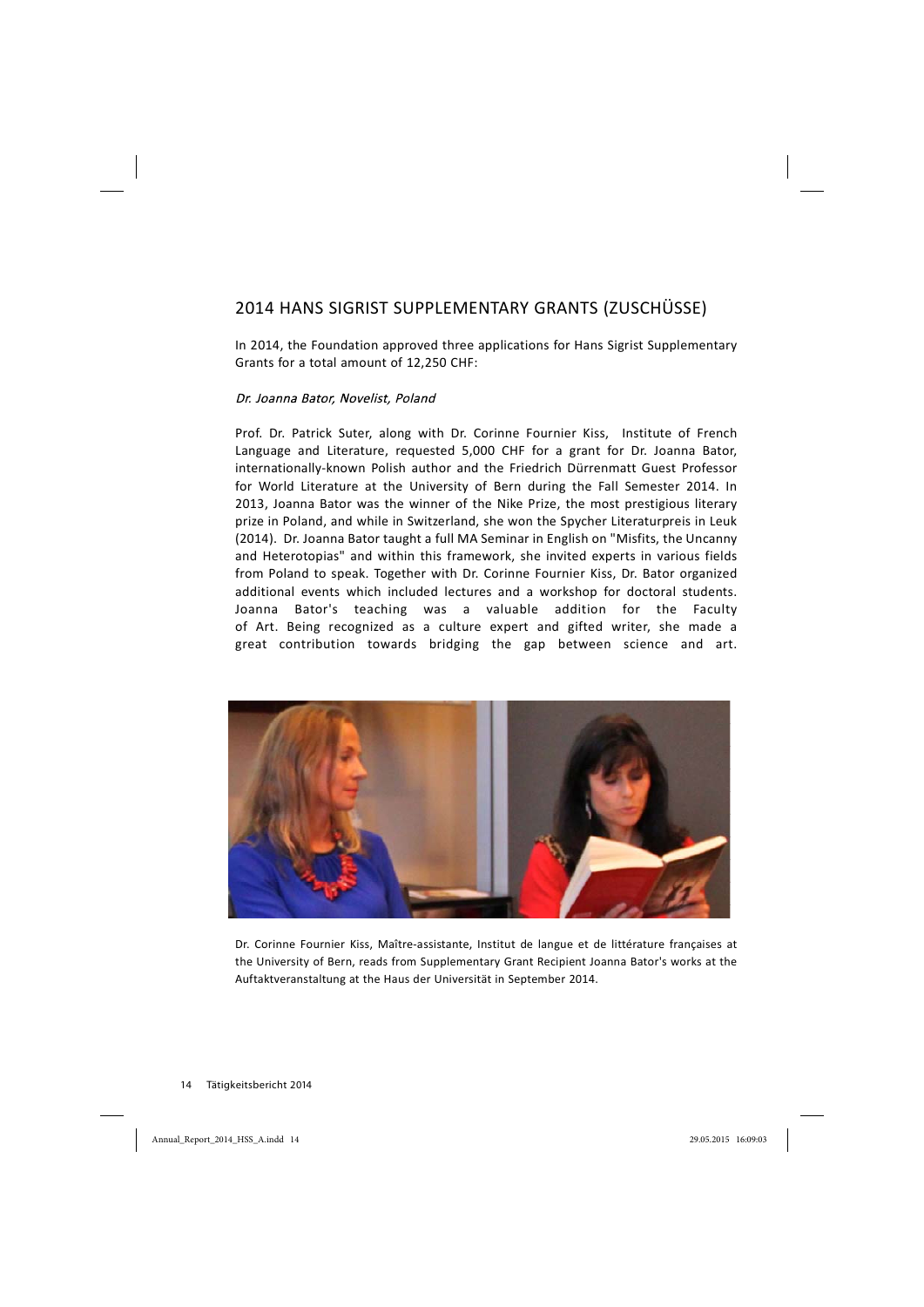# 2014 HANS SIGRIST SUPPLEMENTARY GRANTS (ZUSCHÜSSE)

In 2014, the Foundation approved three applications for Hans Sigrist Supplementary Grants for a total amount of 12,250 CHF:

#### Dr. Joanna Bator, Novelist, Poland

Prof. Dr. Patrick Suter, along with Dr. Corinne Fournier Kiss, Institute of French Language and Literature, requested 5,000 CHF for a grant for Dr. Joanna Bator, internationally-known Polish author and the Friedrich Dürrenmatt Guest Professor for World Literature at the University of Bern during the Fall Semester 2014. In 2013, Joanna Bator was the winner of the Nike Prize, the most prestigious literary prize in Poland, and while in Switzerland, she won the Spycher Literaturpreis in Leuk (2014). Dr. Joanna Bator taught a full MA Seminar in English on "Misfits, the Uncanny and Heterotopias" and within this framework, she invited experts in various fields from Poland to speak. Together with Dr. Corinne Fournier Kiss, Dr. Bator organized additional events which included lectures and a workshop for doctoral students. Joanna Bator's teaching was a valuable addition for the Faculty of Art. Being recognized as a culture expert and gifted writer, she made a great contribution towards bridging the gap between science and art.



Dr. Corinne Fournier Kiss, Maître-assistante, Institut de langue et de littérature françaises at the University of Bern, reads from Supplementary Grant Recipient Joanna Bator's works at the Auftaktveranstaltung at the Haus der Universität in September 2014.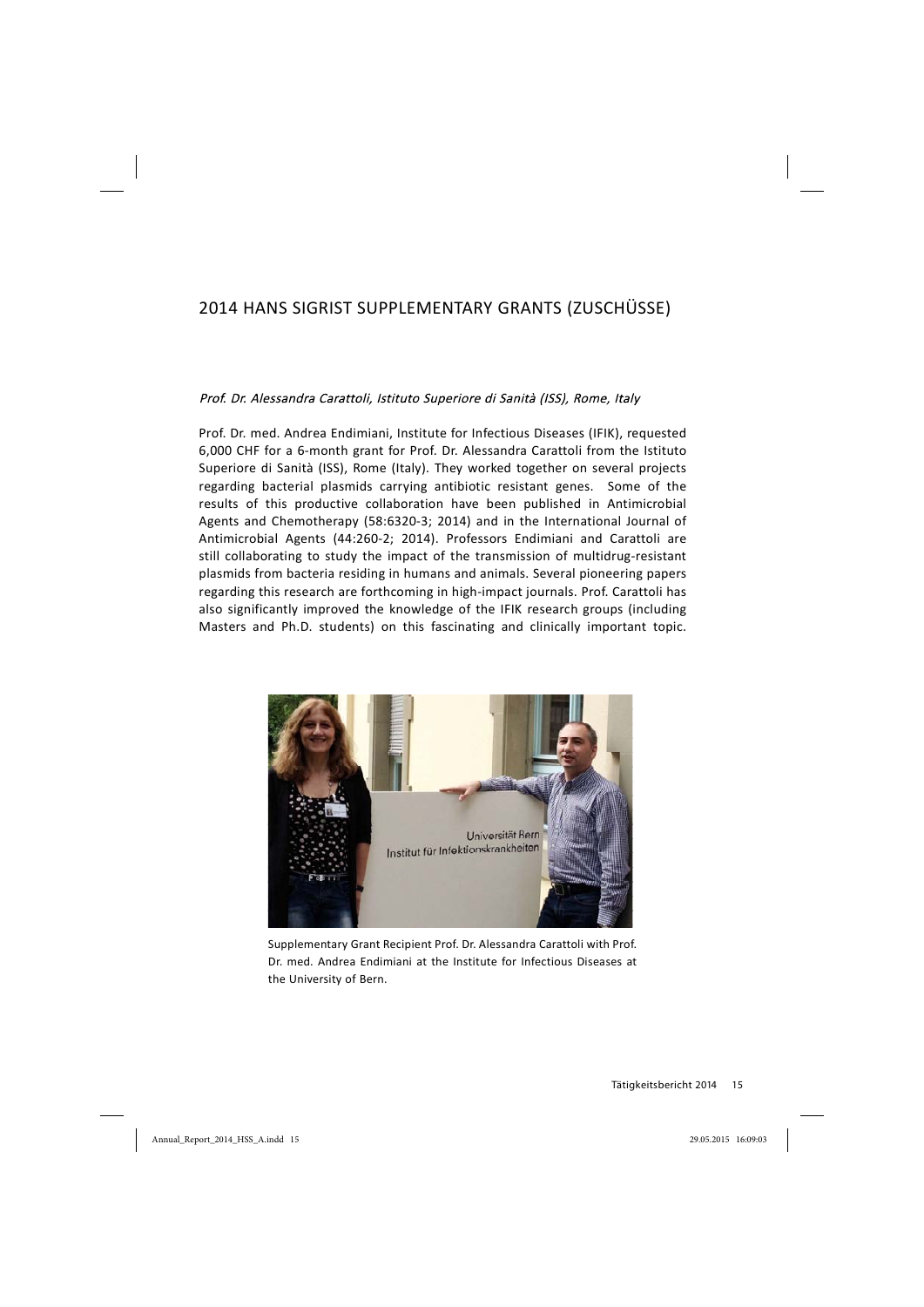# 2014 HANS SIGRIST SUPPLEMENTARY GRANTS (ZUSCHÜSSE)

#### Prof. Dr. Alessandra Carattoli, Istituto Superiore di Sanità (ISS), Rome, Italy

Prof. Dr. med. Andrea Endimiani, Institute for Infectious Diseases (IFIK), requested 6,000 CHF for a 6-month grant for Prof. Dr. Alessandra Carattoli from the Istituto Superiore di Sanità (ISS), Rome (Italy). They worked together on several projects regarding bacterial plasmids carrying antibiotic resistant genes. Some of the results of this productive collaboration have been published in Antimicrobial Agents and Chemotherapy (58:6320-3; 2014) and in the International Journal of Antimicrobial Agents (44:260-2; 2014). Professors Endimiani and Carattoli are still collaborating to study the impact of the transmission of multidrug-resistant plasmids from bacteria residing in humans and animals. Several pioneering papers regarding this research are forthcoming in high-impact journals. Prof. Carattoli has also significantly improved the knowledge of the IFIK research groups (including Masters and Ph.D. students) on this fascinating and clinically important topic.



Supplementary Grant Recipient Prof. Dr. Alessandra Carattoli with Prof. Dr. med. Andrea Endimiani at the Institute for Infectious Diseases at the University of Bern.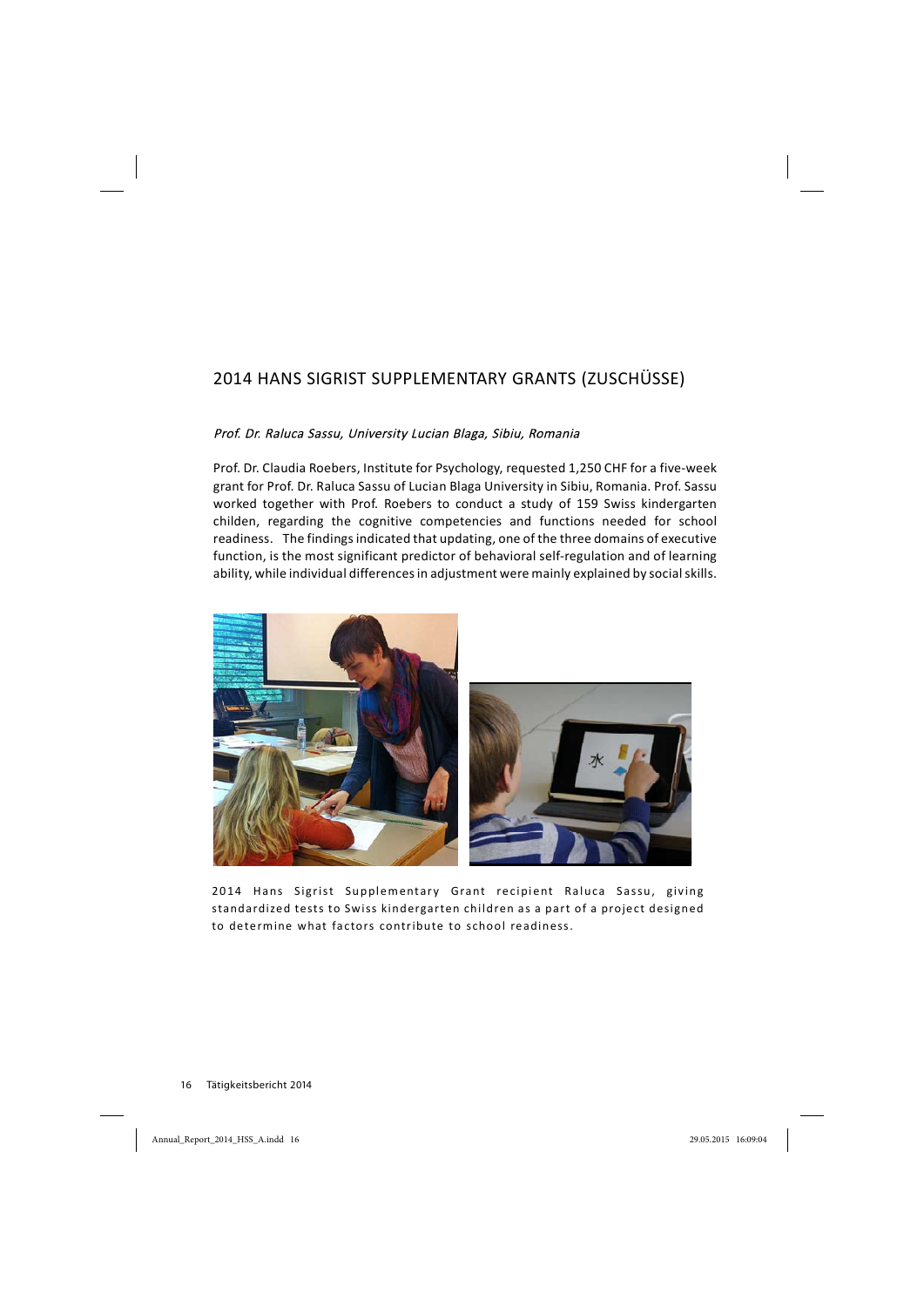# 2014 HANS SIGRIST SUPPLEMENTARY GRANTS (ZUSCHÜSSE)

#### Prof. Dr. Raluca Sassu, University Lucian Blaga, Sibiu, Romania

Prof. Dr. Claudia Roebers, Institute for Psychology, requested 1,250 CHF for a five-week grant for Prof. Dr. Raluca Sassu of Lucian Blaga University in Sibiu, Romania. Prof. Sassu worked together with Prof. Roebers to conduct a study of 159 Swiss kindergarten childen, regarding the cognitive competencies and functions needed for school readiness. The findings indicated that updating, one of the three domains of executive function, is the most significant predictor of behavioral self-regulation and of learning ability, while individual differences in adjustment were mainly explained by social skills.



2014 Hans Sigrist Supplementary Grant recipient Raluca Sassu, giving standardized tests to Swiss kindergarten children as a part of a project designed to determine what factors contribute to school readiness.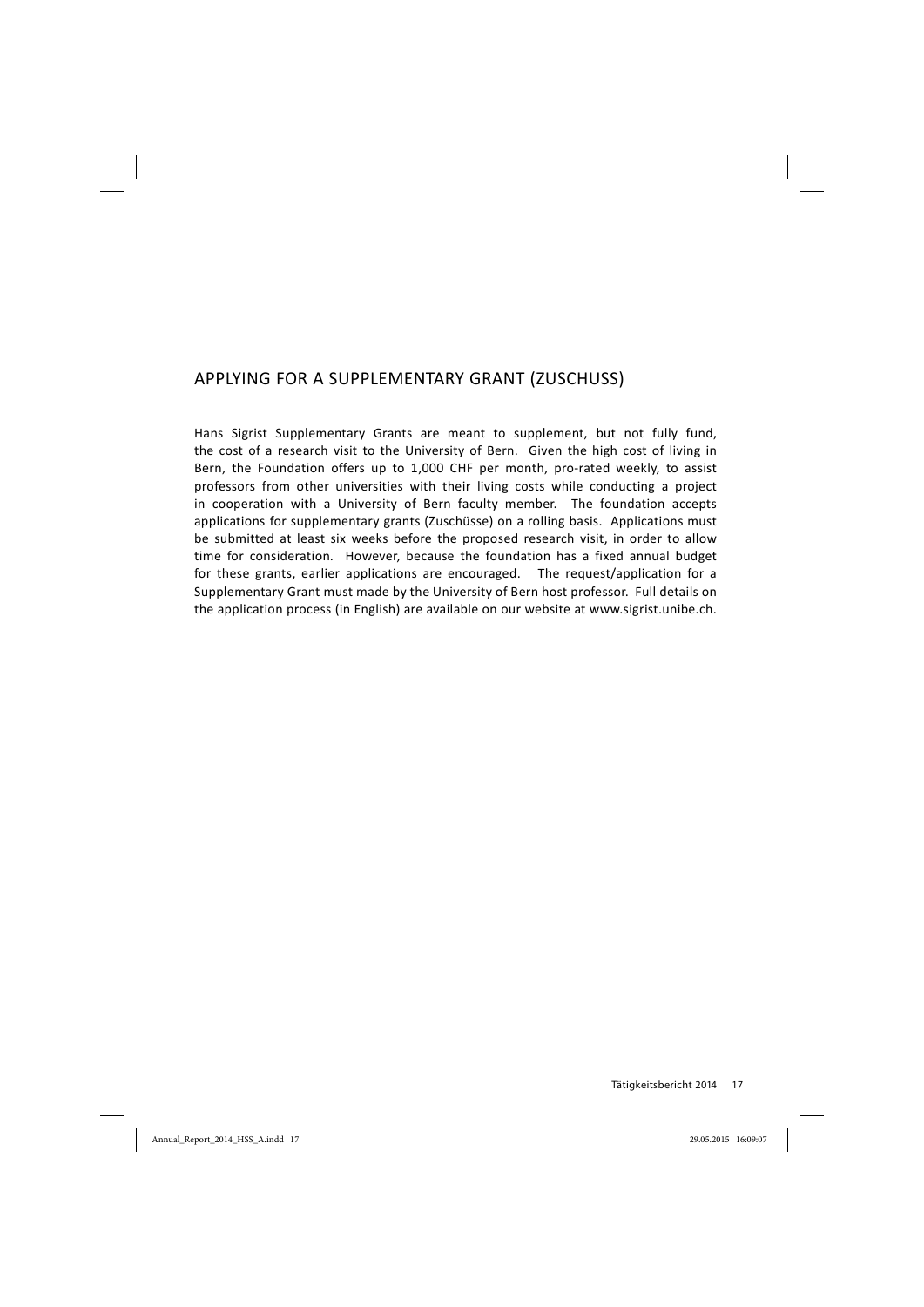# APPLYING FOR A SUPPLEMENTARY GRANT (ZUSCHUSS)

Hans Sigrist Supplementary Grants are meant to supplement, but not fully fund, the cost of a research visit to the University of Bern. Given the high cost of living in Bern, the Foundation offers up to 1,000 CHF per month, pro-rated weekly, to assist professors from other universities with their living costs while conducting a project in cooperation with a University of Bern faculty member. The foundation accepts applications for supplementary grants (Zuschüsse) on a rolling basis. Applications must be submitted at least six weeks before the proposed research visit, in order to allow time for consideration. However, because the foundation has a fixed annual budget for these grants, earlier applications are encouraged. The request/application for a Supplementary Grant must made by the University of Bern host professor. Full details on the application process (in English) are available on our website at www.sigrist.unibe.ch.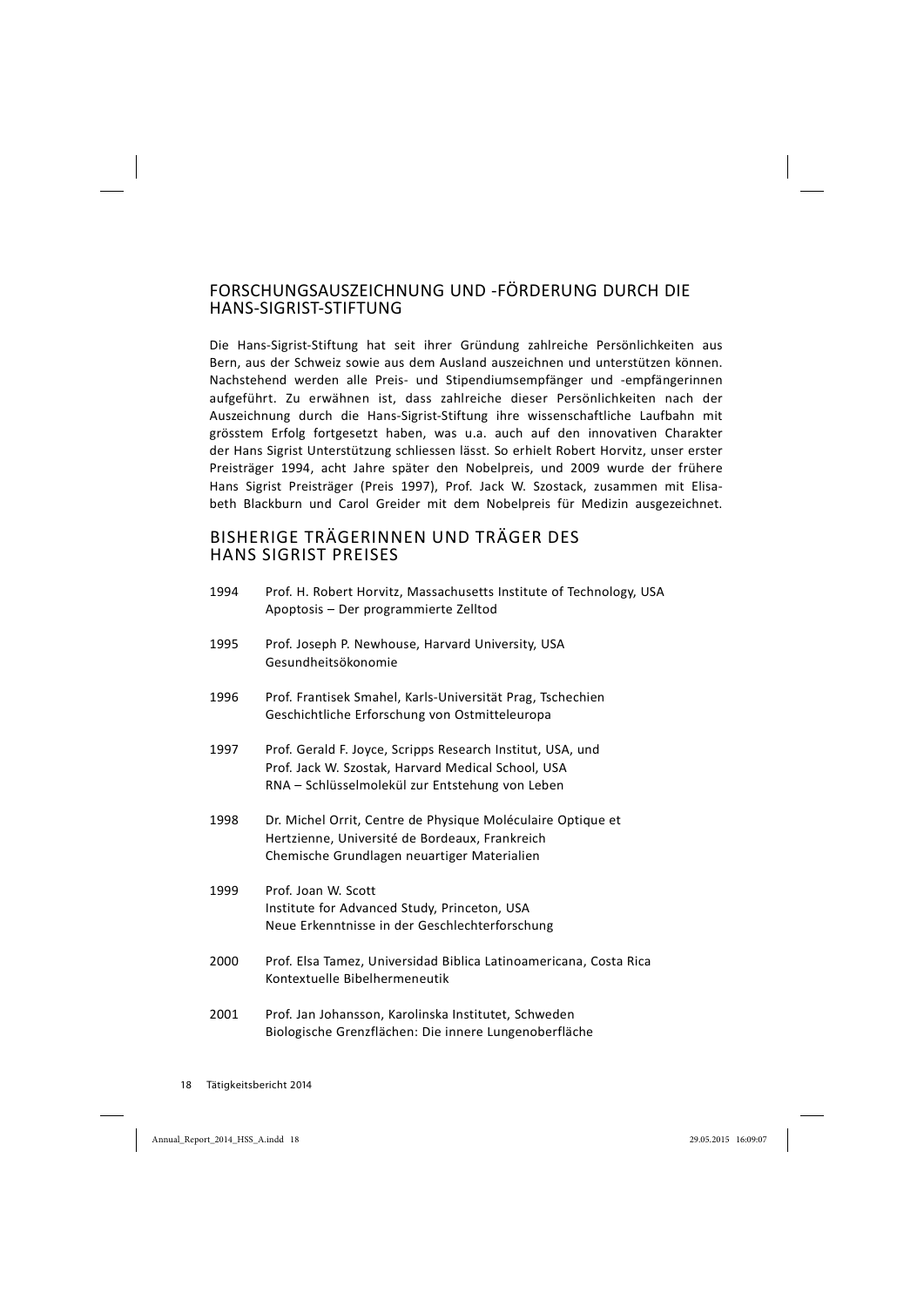#### FORSCHUNGSAUSZEICHNUNG UND FÖRDERUNG DURCH DIE HANS-SIGRIST-STIFTUNG

Die Hans-Sigrist-Stiftung hat seit ihrer Gründung zahlreiche Persönlichkeiten aus Bern, aus der Schweiz sowie aus dem Ausland auszeichnen und unterstützen können. Nachstehend werden alle Preis- und Stipendiumsempfänger und -empfängerinnen aufgeführt. Zu erwähnen ist, dass zahlreiche dieser Persönlichkeiten nach der Auszeichnung durch die Hans-Sigrist-Stiftung ihre wissenschaftliche Laufbahn mit grösstem Erfolg fortgesetzt haben, was u.a. auch auf den innovativen Charakter der Hans Sigrist Unterstützung schliessen lässt. So erhielt Robert Horvitz, unser erster Preisträger 1994, acht Jahre später den Nobelpreis, und 2009 wurde der frühere Hans Sigrist Preisträger (Preis 1997), Prof. Jack W. Szostack, zusammen mit Elisabeth Blackburn und Carol Greider mit dem Nobelpreis für Medizin ausgezeichnet.

#### BISHERIGE TRÄGERINNEN UND TRÄGER DES HANS SIGRIST PREISES

| 1994 | Prof. H. Robert Horvitz, Massachusetts Institute of Technology, USA<br>Apoptosis - Der programmierte Zelltod                                                        |
|------|---------------------------------------------------------------------------------------------------------------------------------------------------------------------|
| 1995 | Prof. Joseph P. Newhouse, Harvard University, USA<br>Gesundheitsökonomie                                                                                            |
| 1996 | Prof. Frantisek Smahel, Karls-Universität Prag, Tschechien<br>Geschichtliche Erforschung von Ostmitteleuropa                                                        |
| 1997 | Prof. Gerald F. Joyce, Scripps Research Institut, USA, und<br>Prof. Jack W. Szostak, Harvard Medical School, USA<br>RNA - Schlüsselmolekül zur Entstehung von Leben |
| 1998 | Dr. Michel Orrit, Centre de Physique Moléculaire Optique et<br>Hertzienne, Université de Bordeaux, Frankreich<br>Chemische Grundlagen neuartiger Materialien        |
| 1999 | Prof. Joan W. Scott<br>Institute for Advanced Study, Princeton, USA<br>Neue Erkenntnisse in der Geschlechterforschung                                               |
| 2000 | Prof. Elsa Tamez, Universidad Biblica Latinoamericana, Costa Rica<br>Kontextuelle Bibelhermeneutik                                                                  |
| 2001 | Prof. Jan Johansson, Karolinska Institutet, Schweden<br>Biologische Grenzflächen: Die innere Lungenoberfläche                                                       |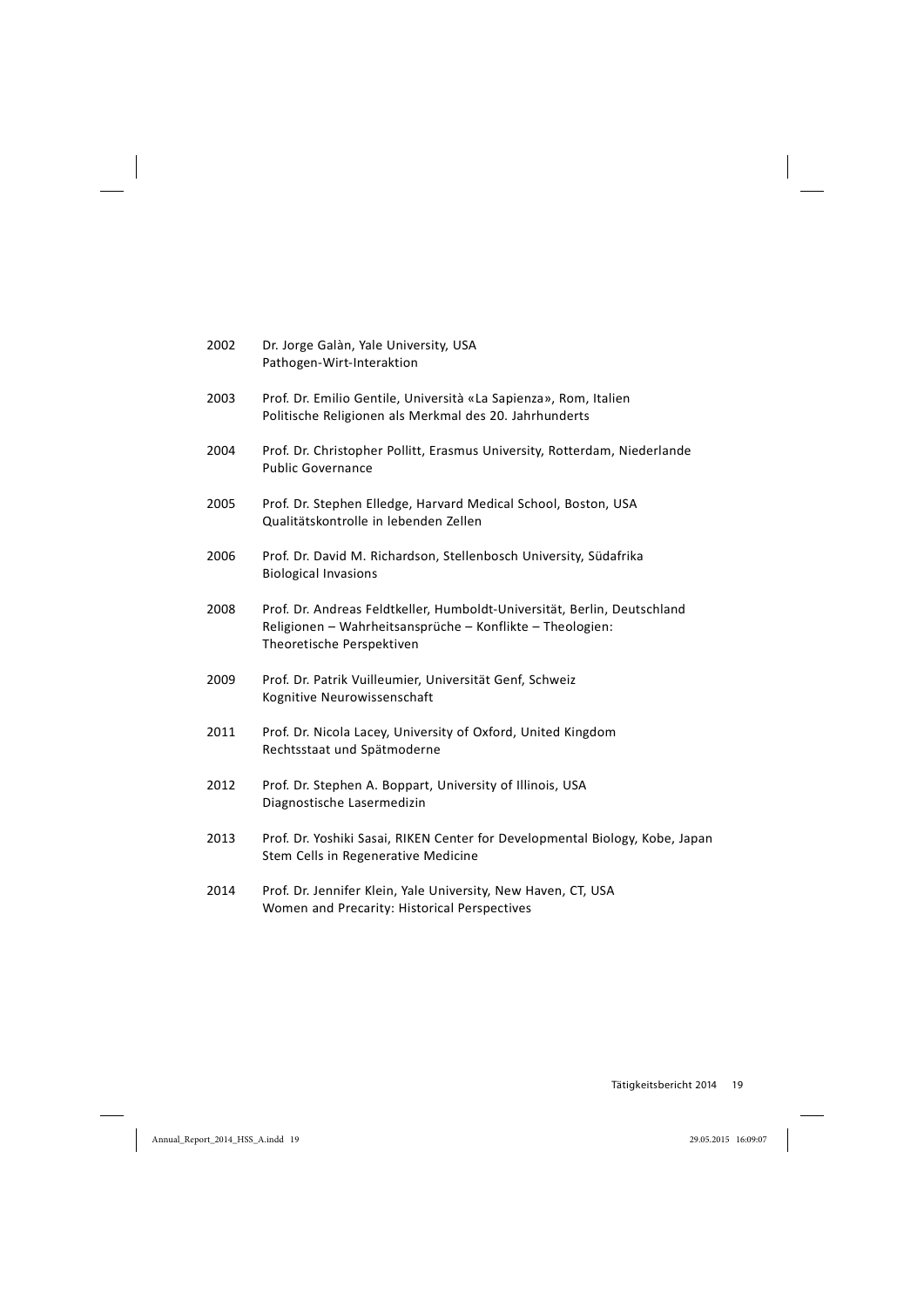| 2002 | Dr. Jorge Galàn, Yale University, USA<br>Pathogen-Wirt-Interaktion                                                                                                 |
|------|--------------------------------------------------------------------------------------------------------------------------------------------------------------------|
| 2003 | Prof. Dr. Emilio Gentile, Università «La Sapienza», Rom, Italien<br>Politische Religionen als Merkmal des 20. Jahrhunderts                                         |
| 2004 | Prof. Dr. Christopher Pollitt, Erasmus University, Rotterdam, Niederlande<br><b>Public Governance</b>                                                              |
| 2005 | Prof. Dr. Stephen Elledge, Harvard Medical School, Boston, USA<br>Qualitätskontrolle in lebenden Zellen                                                            |
| 2006 | Prof. Dr. David M. Richardson, Stellenbosch University, Südafrika<br><b>Biological Invasions</b>                                                                   |
| 2008 | Prof. Dr. Andreas Feldtkeller, Humboldt-Universität, Berlin, Deutschland<br>Religionen - Wahrheitsansprüche - Konflikte - Theologien:<br>Theoretische Perspektiven |
| 2009 | Prof. Dr. Patrik Vuilleumier, Universität Genf, Schweiz<br>Kognitive Neurowissenschaft                                                                             |
| 2011 | Prof. Dr. Nicola Lacey, University of Oxford, United Kingdom<br>Rechtsstaat und Spätmoderne                                                                        |
| 2012 | Prof. Dr. Stephen A. Boppart, University of Illinois, USA<br>Diagnostische Lasermedizin                                                                            |
| 2013 | Prof. Dr. Yoshiki Sasai, RIKEN Center for Developmental Biology, Kobe, Japan<br>Stem Cells in Regenerative Medicine                                                |
| 2014 | Prof. Dr. Jennifer Klein, Yale University, New Haven, CT, USA<br>Women and Precarity: Historical Perspectives                                                      |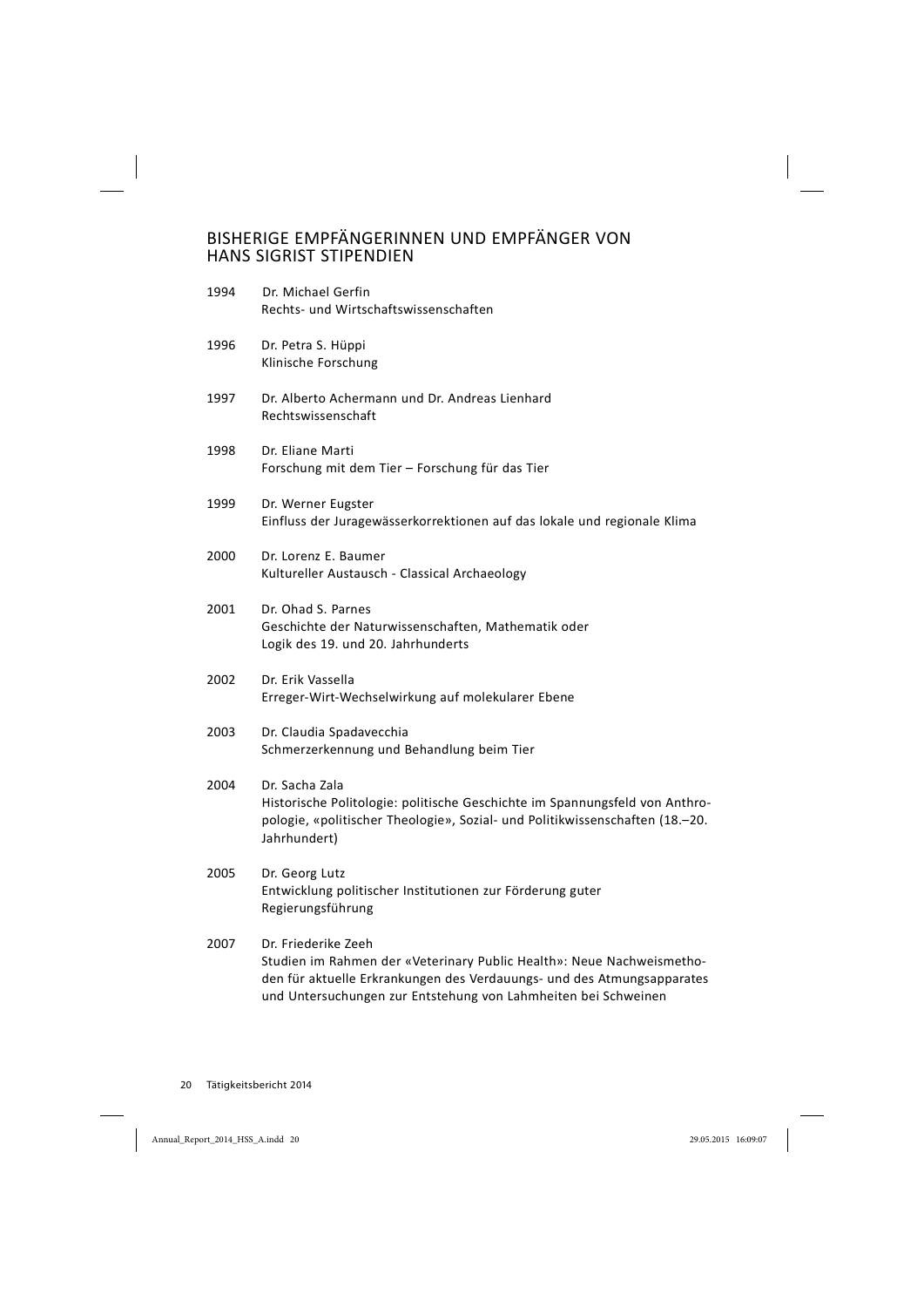# BISHERIGE EMPFÄNGERINNEN UND EMPFÄNGER VON HANS SIGRIST STIPENDIEN

| 1994 | Dr. Michael Gerfin<br>Rechts- und Wirtschaftswissenschaften                                                                                                                                   |
|------|-----------------------------------------------------------------------------------------------------------------------------------------------------------------------------------------------|
| 1996 | Dr. Petra S. Hüppi<br>Klinische Forschung                                                                                                                                                     |
| 1997 | Dr. Alberto Achermann und Dr. Andreas Lienhard<br>Rechtswissenschaft                                                                                                                          |
| 1998 | Dr. Eliane Marti<br>Forschung mit dem Tier - Forschung für das Tier                                                                                                                           |
| 1999 | Dr. Werner Eugster<br>Einfluss der Juragewässerkorrektionen auf das lokale und regionale Klima                                                                                                |
| 2000 | Dr. Lorenz E. Baumer<br>Kultureller Austausch - Classical Archaeology                                                                                                                         |
| 2001 | Dr. Ohad S. Parnes<br>Geschichte der Naturwissenschaften, Mathematik oder<br>Logik des 19. und 20. Jahrhunderts                                                                               |
| 2002 | Dr. Erik Vassella<br>Erreger-Wirt-Wechselwirkung auf molekularer Ebene                                                                                                                        |
| 2003 | Dr. Claudia Spadavecchia<br>Schmerzerkennung und Behandlung beim Tier                                                                                                                         |
| 2004 | Dr. Sacha Zala<br>Historische Politologie: politische Geschichte im Spannungsfeld von Anthro-<br>pologie, «politischer Theologie», Sozial- und Politikwissenschaften (18.–20.<br>Jahrhundert) |
| 2005 | Dr. Georg Lutz<br>Entwicklung politischer Institutionen zur Förderung guter<br>Regierungsführung                                                                                              |
| 2007 | Dr. Friederike Zeeh<br>Studien im Rahmen der «Veterinary Public Health»: Neue Nachweismetho-<br>den für aktuelle Erkrankungen des Verdauungs- und des Atmungsapparates                        |

und Untersuchungen zur Entstehung von Lahmheiten bei Schweinen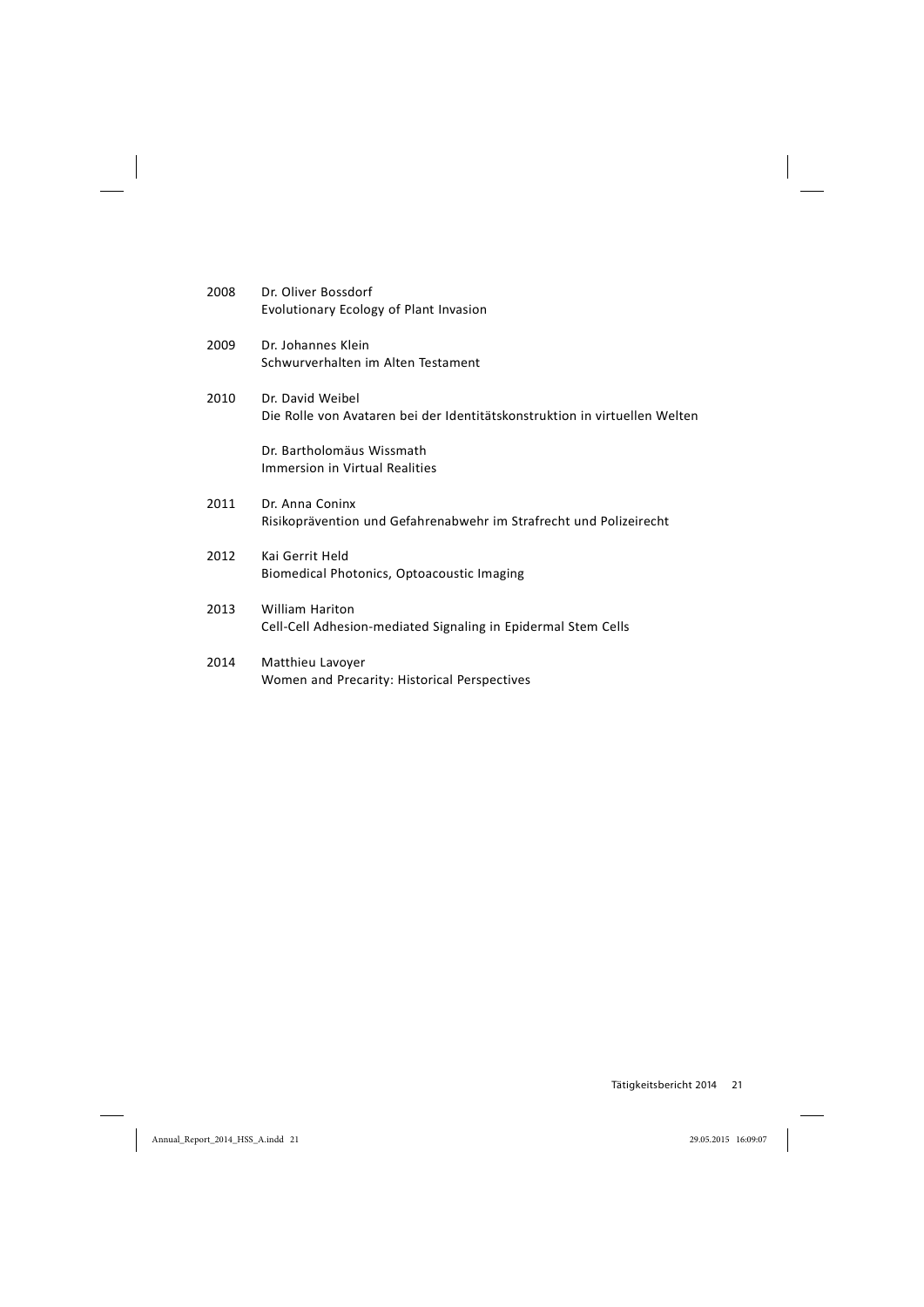| 2008 | Dr. Oliver Bossdorf                    |
|------|----------------------------------------|
|      | Evolutionary Ecology of Plant Invasion |

- 2009 Dr. Johannes Klein Schwurverhalten im Alten Testament
- 2010 Dr. David Weibel Die Rolle von Avataren bei der Identitätskonstruktion in virtuellen Welten

Dr. Bartholomäus Wissmath Immersion in Virtual Realities

- 2011 Dr. Anna Coninx Risikoprävention und Gefahrenabwehr im Strafrecht und Polizeirecht
- 2012 Kai Gerrit Held Biomedical Photonics, Optoacoustic Imaging
- 2013 William Hariton Cell-Cell Adhesion-mediated Signaling in Epidermal Stem Cells
- 2014 Matthieu Lavoyer Women and Precarity: Historical Perspectives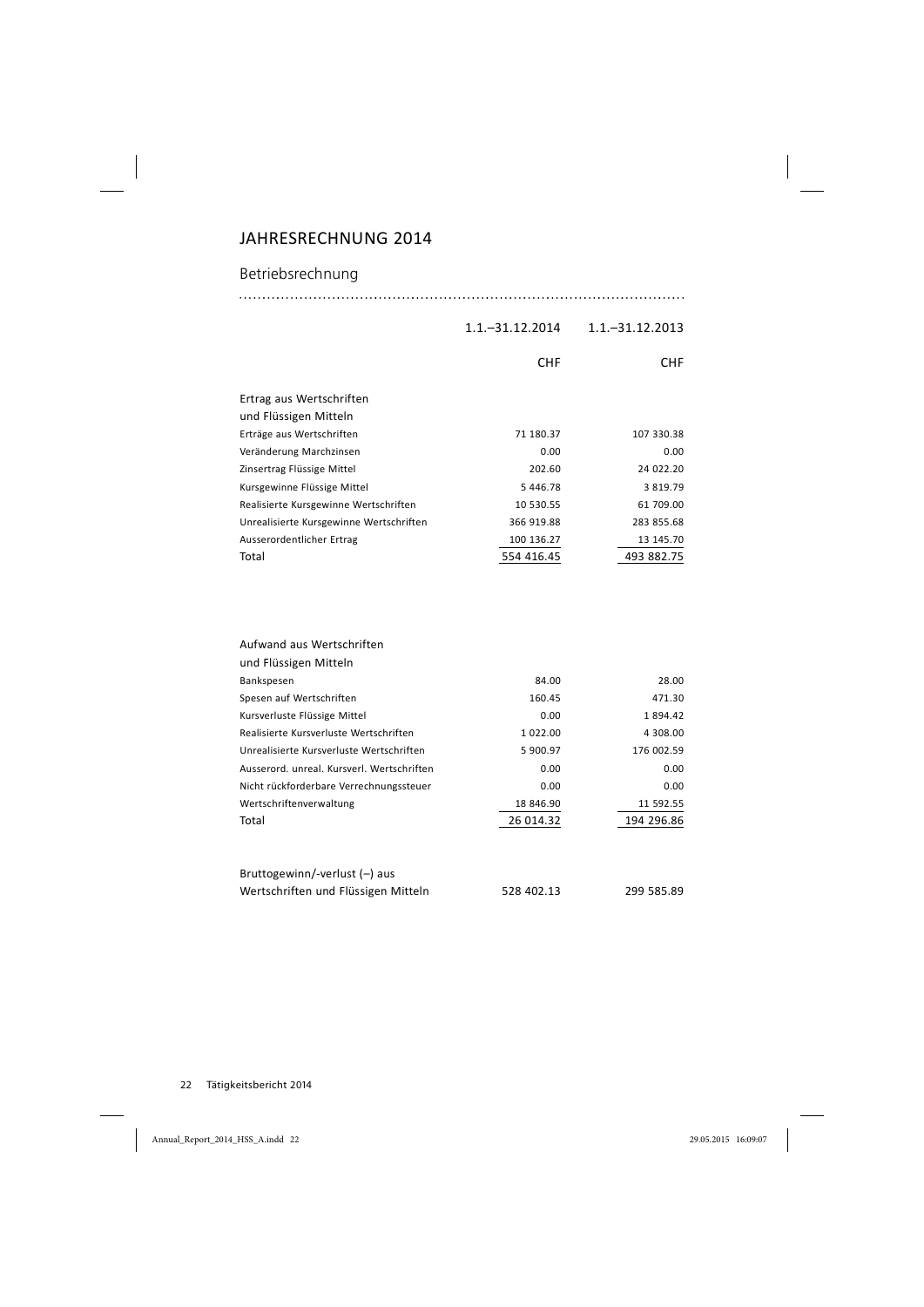# JAHRESRECHNUNG 2014

### Betriebsrechnung

#### 1.1.–31.12.2014 1.1.–31.12.2013

|                                         | <b>CHF</b> | CHF.          |
|-----------------------------------------|------------|---------------|
| Ertrag aus Wertschriften                |            |               |
| und Flüssigen Mitteln                   |            |               |
| Erträge aus Wertschriften               | 71 180.37  | 107 330.38    |
| Veränderung Marchzinsen                 | 0.00       | 0.00          |
| Zinsertrag Flüssige Mittel              | 202.60     | 24 022.20     |
| Kursgewinne Flüssige Mittel             | 5 446.78   | 3 8 1 9 . 7 9 |
| Realisierte Kursgewinne Wertschriften   | 10 530.55  | 61 709.00     |
| Unrealisierte Kursgewinne Wertschriften | 366 919.88 | 283 855.68    |
| Ausserordentlicher Ertrag               | 100 136.27 | 13 145.70     |
| Total                                   | 554 416.45 | 493 882.75    |
|                                         |            |               |
|                                         |            |               |

| Aufwand aus Wertschriften                  |           |            |
|--------------------------------------------|-----------|------------|
| und Flüssigen Mitteln                      |           |            |
| Bankspesen                                 | 84.00     | 28.00      |
| Spesen auf Wertschriften                   | 160.45    | 471.30     |
| Kursverluste Flüssige Mittel               | 0.00      | 1894.42    |
| Realisierte Kursverluste Wertschriften     | 1 022.00  | 4 308.00   |
| Unrealisierte Kursverluste Wertschriften   | 5 900.97  | 176 002.59 |
| Ausserord, unreal, Kursverl, Wertschriften | 0.00      | 0.00       |
| Nicht rückforderbare Verrechnungssteuer    | 0.00      | 0.00       |
| Wertschriftenverwaltung                    | 18 846.90 | 11 592.55  |
| Total                                      | 26 014.32 | 194 296.86 |
|                                            |           |            |
|                                            |           |            |

| Bruttogewinn/-verlust $(-)$ aus     |            |            |
|-------------------------------------|------------|------------|
| Wertschriften und Flüssigen Mitteln | 528 402.13 | 299 585.89 |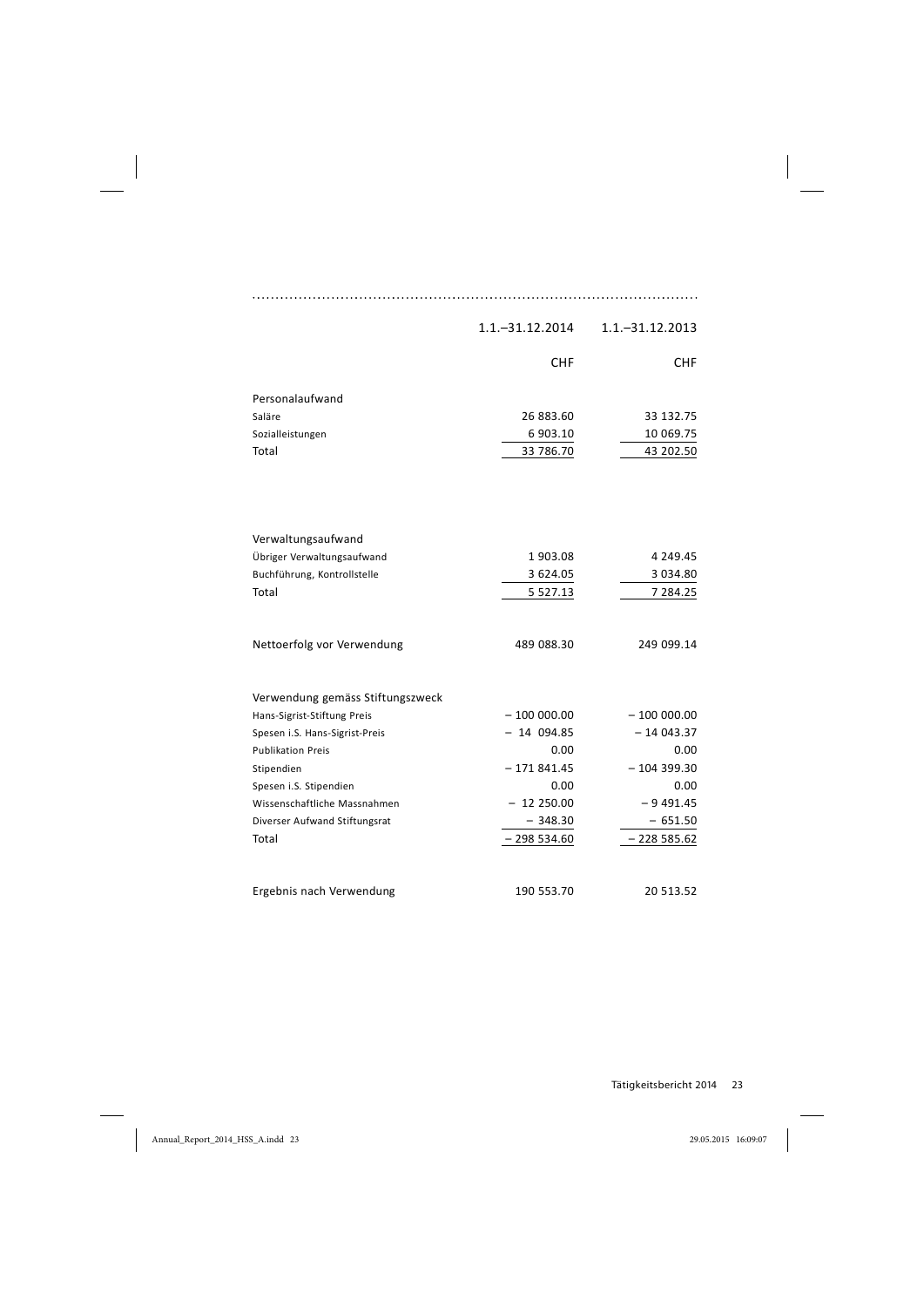|                                  | 1.1. - 31.12.2014 | $1.1 - 31.12.2013$ |
|----------------------------------|-------------------|--------------------|
|                                  | <b>CHF</b>        | CHF.               |
| Personalaufwand                  |                   |                    |
| Saläre                           | 26 883.60         | 33 132.75          |
| Sozialleistungen                 | 6 903.10          | 10 069.75          |
| Total                            | 33 786.70         | 43 202.50          |
|                                  |                   |                    |
| Verwaltungsaufwand               |                   |                    |
| Übriger Verwaltungsaufwand       | 1903.08           | 4 249.45           |
| Buchführung, Kontrollstelle      | 3 624.05          | 3 0 3 4 . 8 0      |
| Total                            | 5 5 2 7 . 1 3     | 7 284.25           |
| Nettoerfolg vor Verwendung       | 489 088.30        | 249 099.14         |
| Verwendung gemäss Stiftungszweck |                   |                    |
| Hans-Sigrist-Stiftung Preis      | $-100000000$      | $-100000.00$       |
| Spesen i.S. Hans-Sigrist-Preis   | $-14094.85$       | $-14043.37$        |
| <b>Publikation Preis</b>         | 0.00              | 0.00               |
| Stipendien                       | $-171841.45$      | $-104399.30$       |
| Spesen i.S. Stipendien           | 0.00              | 0.00               |
| Wissenschaftliche Massnahmen     | $-12250.00$       | $-9491.45$         |
| Diverser Aufwand Stiftungsrat    | $-348.30$         | $-651.50$          |
| Total                            | $-298534.60$      | $-228585.62$       |
| Ergebnis nach Verwendung         | 190 553.70        | 20 513.52          |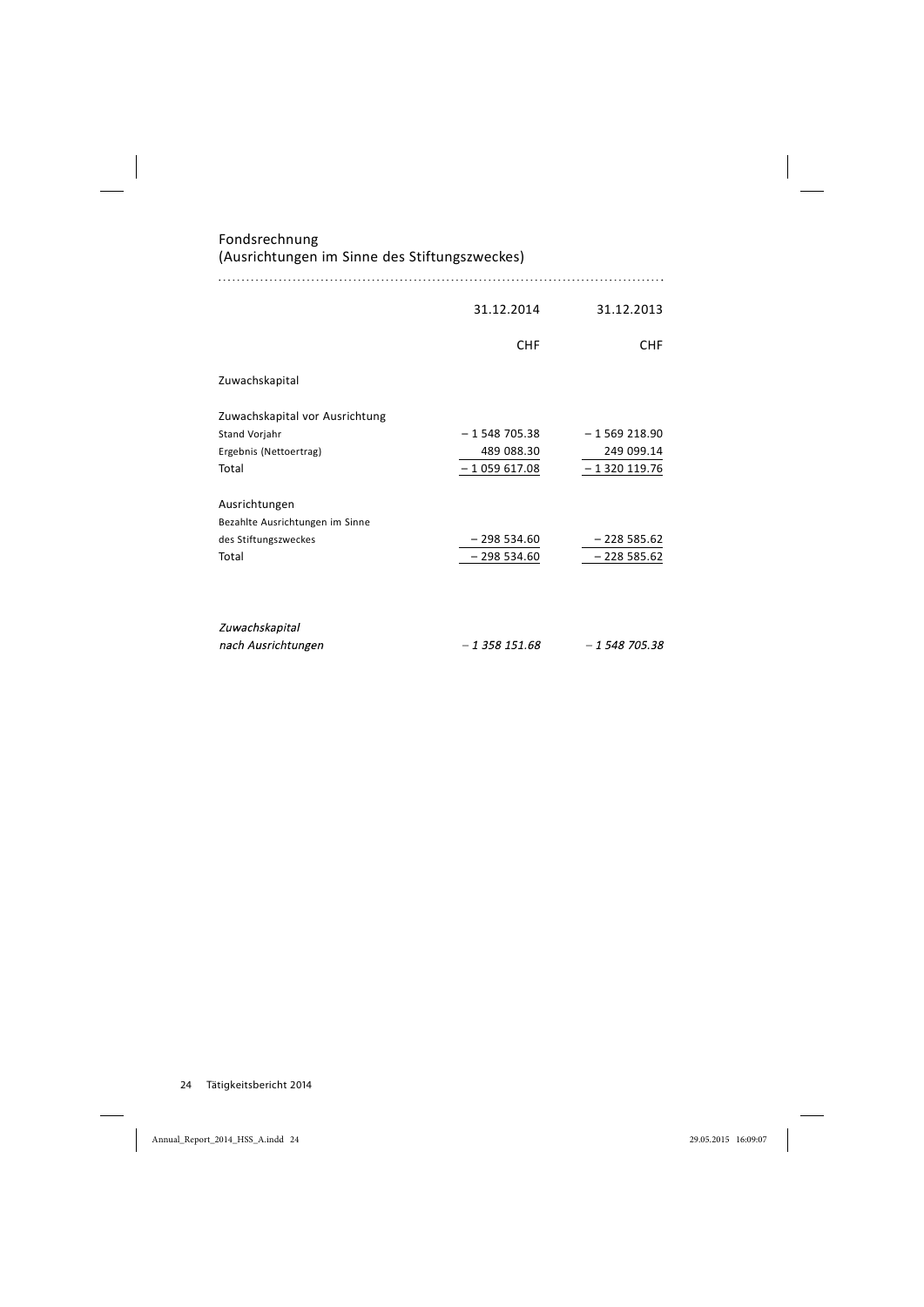| Fondsrechnung<br>(Ausrichtungen im Sinne des Stiftungszweckes) |               |               |
|----------------------------------------------------------------|---------------|---------------|
|                                                                |               |               |
|                                                                | 31.12.2014    | 31.12.2013    |
|                                                                | <b>CHF</b>    | <b>CHF</b>    |
| Zuwachskapital                                                 |               |               |
| Zuwachskapital vor Ausrichtung                                 |               |               |
| <b>Stand Vorjahr</b>                                           | $-1548705.38$ | $-1569218.90$ |
| Ergebnis (Nettoertrag)                                         | 489 088.30    | 249 099.14    |
| Total                                                          | $-1059617.08$ | $-1320119.76$ |
| Ausrichtungen                                                  |               |               |
| Bezahlte Ausrichtungen im Sinne                                |               |               |
| des Stiftungszweckes                                           | $-298534.60$  | $-228585.62$  |
| Total                                                          | $-298534.60$  | $-2285.62$    |
| Zuwachskapital                                                 |               |               |
| nach Ausrichtungen                                             | $-1358151.68$ | $-1548705.38$ |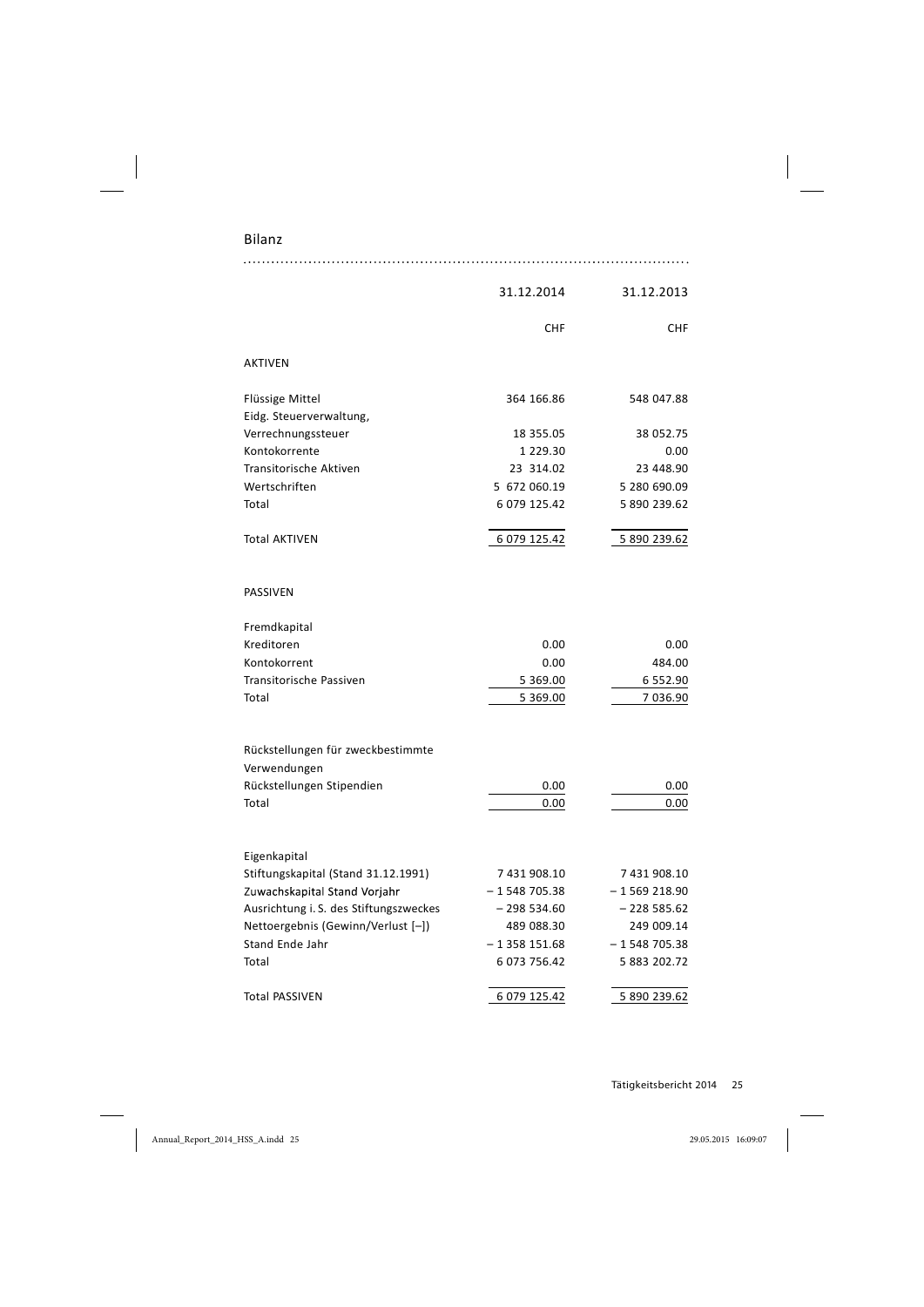Bilanz

|                                                   | 31.12.2014    | 31.12.2013    |
|---------------------------------------------------|---------------|---------------|
|                                                   | <b>CHF</b>    | <b>CHF</b>    |
| <b>AKTIVEN</b>                                    |               |               |
| Flüssige Mittel                                   | 364 166.86    | 548 047.88    |
| Eidg. Steuerverwaltung,                           |               |               |
| Verrechnungssteuer                                | 18 355.05     | 38 052.75     |
| Kontokorrente                                     | 1 229.30      | 0.00          |
| <b>Transitorische Aktiven</b>                     | 23 314.02     | 23 448.90     |
| Wertschriften                                     | 5 672 060.19  | 5 280 690.09  |
| Total                                             | 6 079 125.42  | 5 890 239.62  |
| <b>Total AKTIVEN</b>                              | 6 079 125.42  | 5 890 239.62  |
| PASSIVEN                                          |               |               |
| Fremdkapital                                      |               |               |
| Kreditoren                                        | 0.00          | 0.00          |
| Kontokorrent                                      | 0.00          | 484.00        |
| Transitorische Passiven                           | 5 369.00      | 6 552.90      |
| Total                                             | 5 369.00      | 7 036.90      |
| Rückstellungen für zweckbestimmte<br>Verwendungen |               |               |
| Rückstellungen Stipendien                         | 0.00          | 0.00          |
| Total                                             | 0.00          | 0.00          |
|                                                   |               |               |
| Eigenkapital                                      |               |               |
| Stiftungskapital (Stand 31.12.1991)               | 7 431 908.10  | 7 431 908.10  |
| Zuwachskapital Stand Vorjahr                      | $-1548705.38$ | $-1569218.90$ |
| Ausrichtung i. S. des Stiftungszweckes            | $-298534.60$  | $-2285.62$    |
| Nettoergebnis (Gewinn/Verlust [-])                | 489 088.30    | 249 009.14    |
| Stand Ende Jahr                                   | $-1358151.68$ | $-1548705.38$ |
| Total                                             | 6 073 756.42  | 5 883 202.72  |
| <b>Total PASSIVEN</b>                             | 6 079 125.42  | 5 890 239.62  |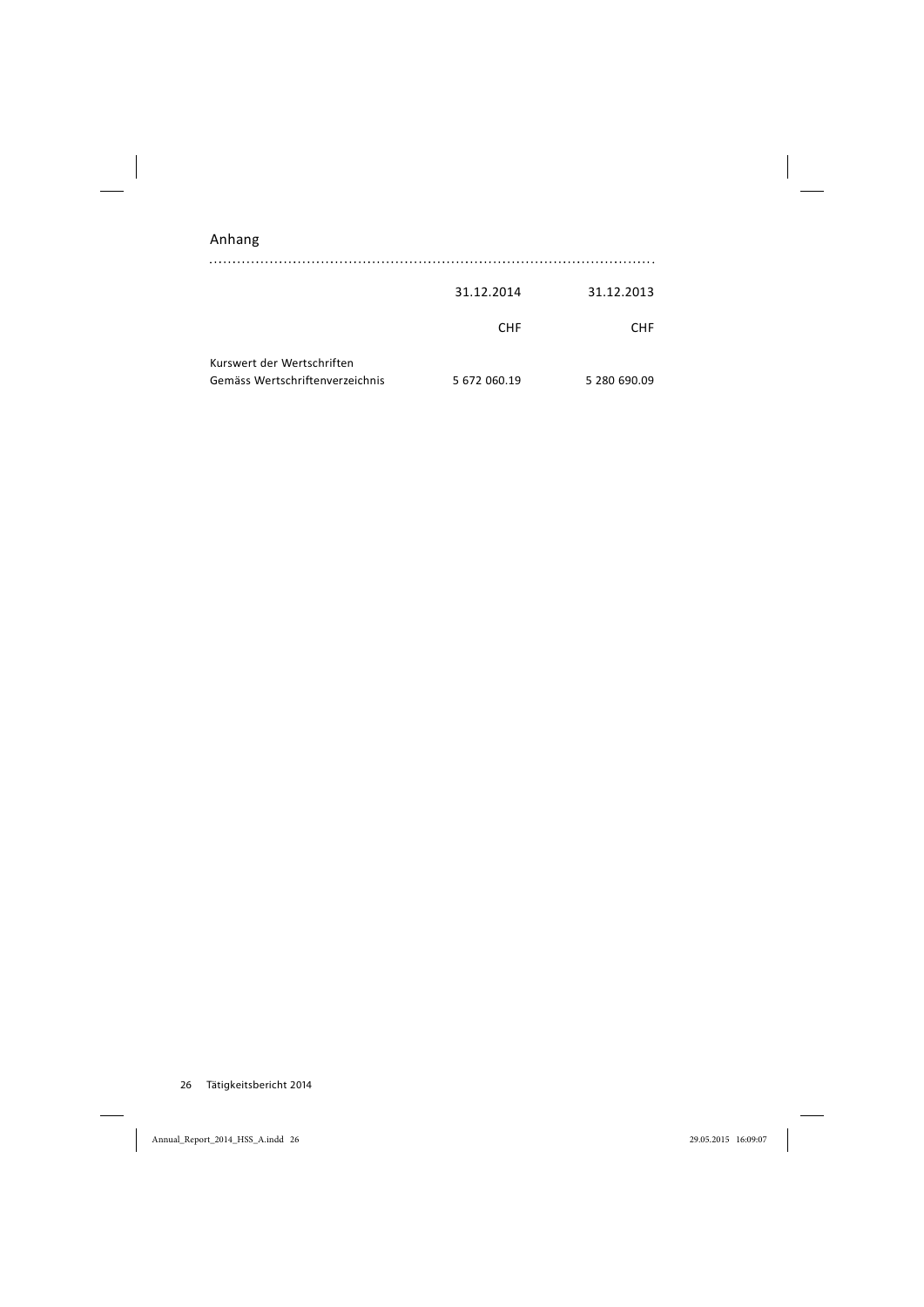| Anhang                                                        |              |              |
|---------------------------------------------------------------|--------------|--------------|
|                                                               | 31.12.2014   | 31.12.2013   |
|                                                               | <b>CHF</b>   | <b>CHF</b>   |
| Kurswert der Wertschriften<br>Gemäss Wertschriftenverzeichnis | 5 672 060.19 | 5 280 690.09 |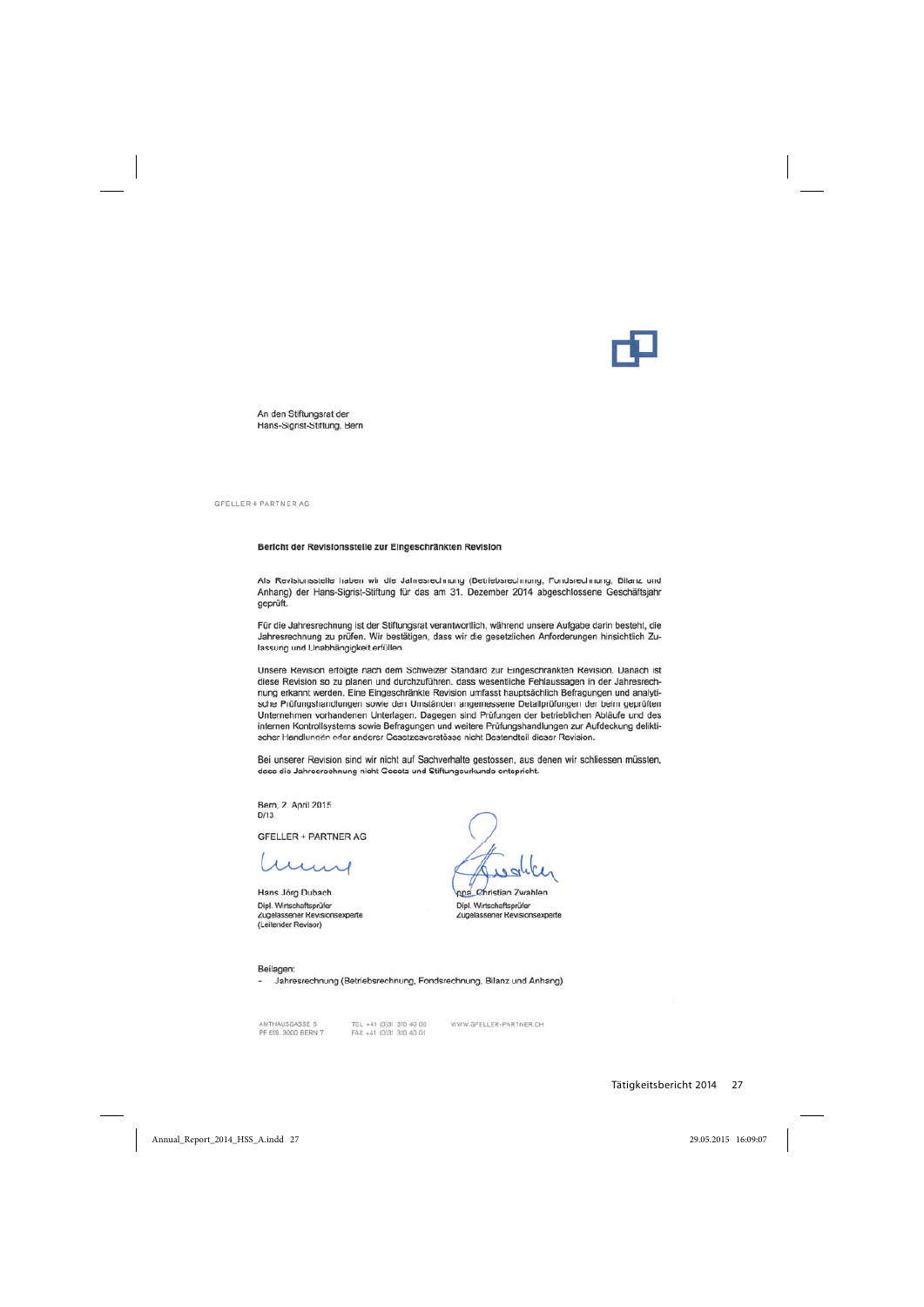An den Stiftungsrat der Hans-Sigrist-Stiftung, Bern

GFELLER + PARTNER AG

#### Bericht der Revisionsstelle zur Eingeschränkten Revision

Als Revisionsstelle haben wir die Jahresrechnung (Betriebsrechnung, Fondsrechnung, Bilanz und Anhang) der Hans-Sigrist-Stiftung für das am 31. Dezember 2014 abgeschlossene Geschäftsjahr geprüft.

Für die Jahresrechnung ist der Stiftungsrat verantwortlich, während unsere Aufgabe darin besteht, die Jahresrechnung zu prüfen. Wir bestätigen, dass wir die gesetzlichen Anforderungen hinsichtlich Zulassung und Unabhängigkeit erfüllen.

Unsere Revision erfolgte nach dem Schweizer Standard zur Eingeschränkten Revision. Danach ist diese Revision so zu planen und durchzuführen, dass wesentliche Fehlaussagen in der Jahresrechnung erkannt werden. Eine Eingeschränkte Revision umfasst hauptsächlich Befragungen und analytische Prüfungshandlungen sowie den Umständen angemessene Detailprüfungen der beim geprüften Unternehmen vorhandenen Unterlagen. Dagegen sind Prüfungen der betrieblichen Abläufe und des internen Kontrollsystems sowie Befragungen und weitere Prüfungshandlungen zur Aufdeckung deliktischer Handlungen oder anderer Gesetzesverstösse nicht Bestandteil dieser Revision.

Bei unserer Revision sind wir nicht auf Sachverhalte gestossen, aus denen wir schliessen müssten, dass die Jahresrechnung nicht Gesetz und Stiftungsurkunde entspricht.

Bern, 2. April 2015  $D/13$ 

**GFELLER + PARTNER AG** 

Hans Jörg Dubach Dipl. Wirtschaftsprüfer Zugelassener Revisionsexperte (Leitender Revisor)

ppa\_Christian Zwahlen Dipl. Wirtschaftsprüfer Zugelassener Revisionsexperte

Beilagen:

- Jahresrechnung (Betriebsrechnung, Fondsrechnung, Bilanz und Anhang)

AMTHAUSGASSE 6 PF 619, 3000 BERN 7 TEL +41 (0)31 310 40 00 FAX +41 (0)31 310 40 01

WWW.GFELLER-PARTNER.CH